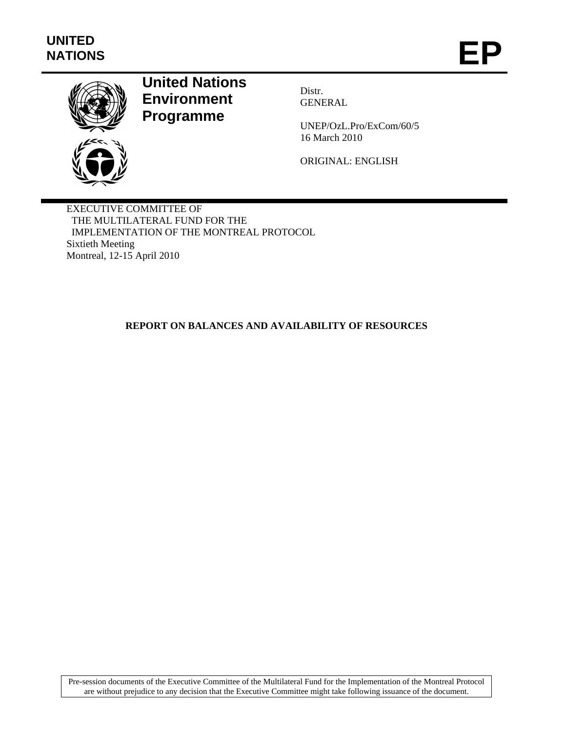

# **United Nations Environment Programme**

Distr. **GENERAL** 

UNEP/OzL.Pro/ExCom/60/5 16 March 2010

ORIGINAL: ENGLISH

EXECUTIVE COMMITTEE OF THE MULTILATERAL FUND FOR THE IMPLEMENTATION OF THE MONTREAL PROTOCOL Sixtieth Meeting Montreal, 12-15 April 2010

### **REPORT ON BALANCES AND AVAILABILITY OF RESOURCES**

Pre-session documents of the Executive Committee of the Multilateral Fund for the Implementation of the Montreal Protocol are without prejudice to any decision that the Executive Committee might take following issuance of the document.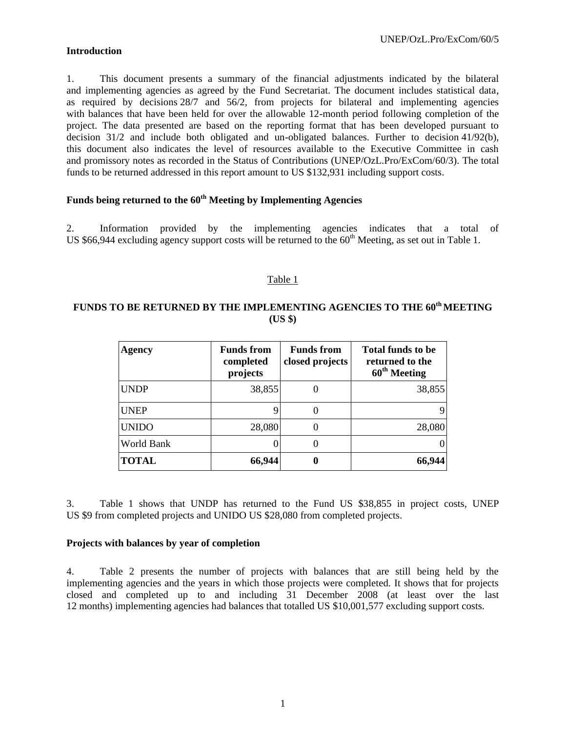### **Introduction**

1. This document presents a summary of the financial adjustments indicated by the bilateral and implementing agencies as agreed by the Fund Secretariat. The document includes statistical data, as required by decisions 28/7 and 56/2, from projects for bilateral and implementing agencies with balances that have been held for over the allowable 12-month period following completion of the project. The data presented are based on the reporting format that has been developed pursuant to decision 31/2 and include both obligated and un-obligated balances. Further to decision 41/92(b), this document also indicates the level of resources available to the Executive Committee in cash and promissory notes as recorded in the Status of Contributions (UNEP/OzL.Pro/ExCom/60/3). The total funds to be returned addressed in this report amount to US \$132,931 including support costs.

### **Funds being returned to the 60th Meeting by Implementing Agencies**

2. Information provided by the implementing agencies indicates that a total of US \$66,944 excluding agency support costs will be returned to the  $60<sup>th</sup>$  Meeting, as set out in Table 1.

#### Table 1

### **FUNDS TO BE RETURNED BY THE IMPLEMENTING AGENCIES TO THE 60th MEETING (US \$)**

| Agency       | <b>Funds from</b><br>completed<br>projects | <b>Funds from</b><br>closed projects | <b>Total funds to be</b><br>returned to the<br>60 <sup>th</sup> Meeting |
|--------------|--------------------------------------------|--------------------------------------|-------------------------------------------------------------------------|
| <b>UNDP</b>  | 38,855                                     |                                      | 38,855                                                                  |
| <b>UNEP</b>  |                                            |                                      |                                                                         |
| <b>UNIDO</b> | 28,080                                     |                                      | 28,080                                                                  |
| World Bank   |                                            |                                      |                                                                         |
| <b>TOTAL</b> | 66,944                                     |                                      | 66,944                                                                  |

3. Table 1 shows that UNDP has returned to the Fund US \$38,855 in project costs, UNEP US \$9 from completed projects and UNIDO US \$28,080 from completed projects.

#### **Projects with balances by year of completion**

4. Table 2 presents the number of projects with balances that are still being held by the implementing agencies and the years in which those projects were completed. It shows that for projects closed and completed up to and including 31 December 2008 (at least over the last 12 months) implementing agencies had balances that totalled US \$10,001,577 excluding support costs.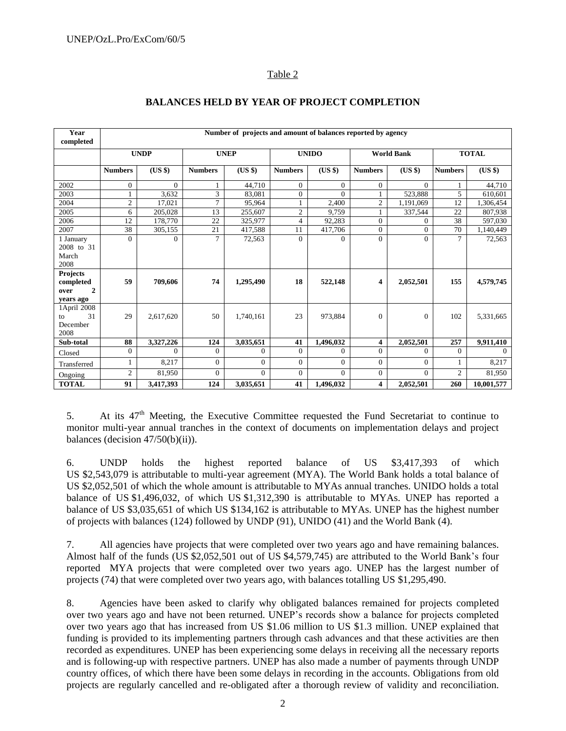#### Table 2

| Year<br>completed                   | Number of projects and amount of balances reported by agency |             |                |                |                |                |                         |                   |                |              |
|-------------------------------------|--------------------------------------------------------------|-------------|----------------|----------------|----------------|----------------|-------------------------|-------------------|----------------|--------------|
|                                     |                                                              | <b>UNDP</b> |                | <b>UNEP</b>    |                | <b>UNIDO</b>   |                         | <b>World Bank</b> |                | <b>TOTAL</b> |
|                                     | <b>Numbers</b>                                               | (US \$)     | <b>Numbers</b> | (US \$)        | <b>Numbers</b> | (US \$)        | <b>Numbers</b>          | (US \$)           | <b>Numbers</b> | $(US \$      |
| 2002                                | $\mathbf{0}$                                                 | $\Omega$    |                | 44,710         | $\overline{0}$ | $\overline{0}$ | $\Omega$                | $\Omega$          |                | 44,710       |
| 2003                                | 1                                                            | 3,632       | 3              | 83,081         | $\mathbf{0}$   | $\Omega$       |                         | 523,888           | 5              | 610,601      |
| 2004                                | $\boldsymbol{2}$                                             | 17,021      | $\overline{7}$ | 95.964         | 1              | 2,400          | $\overline{2}$          | 1,191,069         | 12             | 1,306,454    |
| 2005                                | 6                                                            | 205,028     | 13             | 255,607        | $\overline{c}$ | 9,759          |                         | 337,544           | 22             | 807,938      |
| 2006                                | 12                                                           | 178,770     | 22             | 325,977        | $\overline{4}$ | 92,283         | $\theta$                | $\Omega$          | 38             | 597,030      |
| 2007                                | 38                                                           | 305,155     | 21             | 417,588        | 11             | 417,706        | $\overline{0}$          | $\Omega$          | 70             | 1,140,449    |
| 1 January                           | $\Omega$                                                     | $\Omega$    | 7              | 72,563         | $\overline{0}$ | $\mathbf{0}$   | $\Omega$                | $\Omega$          | 7              | 72,563       |
| 2008 to 31                          |                                                              |             |                |                |                |                |                         |                   |                |              |
| March                               |                                                              |             |                |                |                |                |                         |                   |                |              |
| 2008                                |                                                              |             |                |                |                |                |                         |                   |                |              |
| Projects                            |                                                              |             |                |                |                |                |                         |                   |                |              |
| completed<br>$\overline{2}$<br>over | 59                                                           | 709,606     | 74             | 1,295,490      | 18             | 522,148        | $\overline{\mathbf{4}}$ | 2,052,501         | 155            | 4,579,745    |
| years ago                           |                                                              |             |                |                |                |                |                         |                   |                |              |
| 1April 2008                         |                                                              |             |                |                |                |                |                         |                   |                |              |
| 31<br>to                            | 29                                                           | 2,617,620   | 50             | 1,740,161      | 23             | 973.884        | $\overline{0}$          | $\mathbf{0}$      | 102            | 5,331,665    |
| December                            |                                                              |             |                |                |                |                |                         |                   |                |              |
| 2008                                |                                                              |             |                |                |                |                |                         |                   |                |              |
| Sub-total                           | 88                                                           | 3,327,226   | 124            | 3,035,651      | 41             | 1,496,032      | 4                       | 2,052,501         | 257            | 9,911,410    |
| Closed                              | $\mathbf{0}$                                                 | $\Omega$    | $\Omega$       | $\mathbf{0}$   | $\Omega$       | $\mathbf{0}$   | $\Omega$                | $\Omega$          | $\mathbf{0}$   | $\Omega$     |
| Transferred                         | 1                                                            | 8,217       | $\Omega$       | $\overline{0}$ | $\overline{0}$ | $\Omega$       | $\Omega$                | $\Omega$          |                | 8,217        |
| Ongoing                             | $\mathfrak{2}$                                               | 81,950      | $\Omega$       | $\Omega$       | $\mathbf{0}$   | $\Omega$       | $\Omega$                | $\Omega$          | $\overline{2}$ | 81,950       |
| <b>TOTAL</b>                        | 91                                                           | 3,417,393   | 124            | 3,035,651      | 41             | 1,496,032      | 4                       | 2,052,501         | 260            | 10,001,577   |

#### **BALANCES HELD BY YEAR OF PROJECT COMPLETION**

5. At its  $47<sup>th</sup>$  Meeting, the Executive Committee requested the Fund Secretariat to continue to monitor multi-year annual tranches in the context of documents on implementation delays and project balances (decision  $47/50(b)(ii)$ ).

6. UNDP holds the highest reported balance of US \$3,417,393 of which US \$2,543,079 is attributable to multi-year agreement (MYA). The World Bank holds a total balance of US \$2,052,501 of which the whole amount is attributable to MYAs annual tranches. UNIDO holds a total balance of US \$1,496,032, of which US \$1,312,390 is attributable to MYAs. UNEP has reported a balance of US \$3,035,651 of which US \$134,162 is attributable to MYAs. UNEP has the highest number of projects with balances (124) followed by UNDP (91), UNIDO (41) and the World Bank (4).

7. All agencies have projects that were completed over two years ago and have remaining balances. Almost half of the funds (US \$2,052,501 out of US \$4,579,745) are attributed to the World Bank's four reported MYA projects that were completed over two years ago. UNEP has the largest number of projects (74) that were completed over two years ago, with balances totalling US \$1,295,490.

8. Agencies have been asked to clarify why obligated balances remained for projects completed over two years ago and have not been returned. UNEP's records show a balance for projects completed over two years ago that has increased from US \$1.06 million to US \$1.3 million. UNEP explained that funding is provided to its implementing partners through cash advances and that these activities are then recorded as expenditures. UNEP has been experiencing some delays in receiving all the necessary reports and is following-up with respective partners. UNEP has also made a number of payments through UNDP country offices, of which there have been some delays in recording in the accounts. Obligations from old projects are regularly cancelled and re-obligated after a thorough review of validity and reconciliation.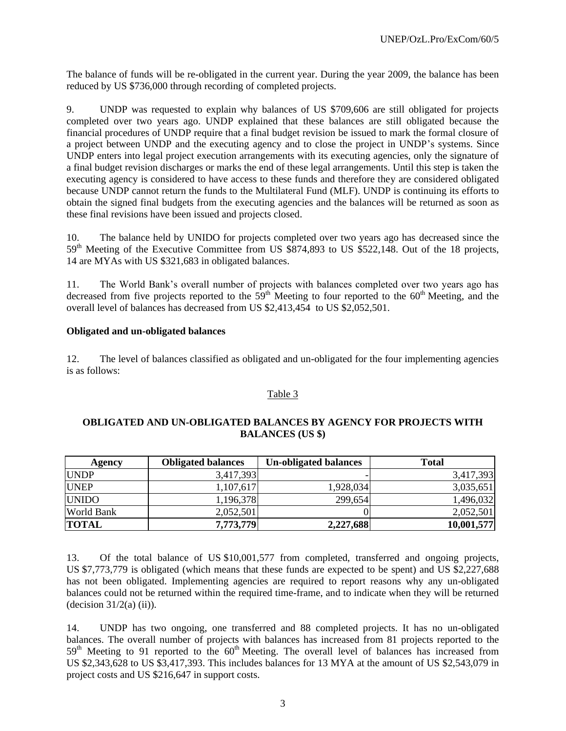The balance of funds will be re-obligated in the current year. During the year 2009, the balance has been reduced by US \$736,000 through recording of completed projects.

9. UNDP was requested to explain why balances of US \$709,606 are still obligated for projects completed over two years ago. UNDP explained that these balances are still obligated because the financial procedures of UNDP require that a final budget revision be issued to mark the formal closure of a project between UNDP and the executing agency and to close the project in UNDP's systems. Since UNDP enters into legal project execution arrangements with its executing agencies, only the signature of a final budget revision discharges or marks the end of these legal arrangements. Until this step is taken the executing agency is considered to have access to these funds and therefore they are considered obligated because UNDP cannot return the funds to the Multilateral Fund (MLF). UNDP is continuing its efforts to obtain the signed final budgets from the executing agencies and the balances will be returned as soon as these final revisions have been issued and projects closed.

10. The balance held by UNIDO for projects completed over two years ago has decreased since the 59<sup>th</sup> Meeting of the Executive Committee from US \$874,893 to US \$522,148. Out of the 18 projects, 14 are MYAs with US \$321,683 in obligated balances.

11. The World Bank's overall number of projects with balances completed over two years ago has decreased from five projects reported to the  $59<sup>th</sup>$  Meeting to four reported to the  $60<sup>th</sup>$  Meeting, and the overall level of balances has decreased from US \$2,413,454 to US \$2,052,501.

#### **Obligated and un-obligated balances**

12. The level of balances classified as obligated and un-obligated for the four implementing agencies is as follows:

#### Table 3

#### **OBLIGATED AND UN-OBLIGATED BALANCES BY AGENCY FOR PROJECTS WITH BALANCES (US \$)**

| Agency            | <b>Obligated balances</b> | <b>Un-obligated balances</b> | <b>Total</b> |
|-------------------|---------------------------|------------------------------|--------------|
| <b>UNDP</b>       | 3,417,393                 |                              | 3,417,393    |
| <b>UNEP</b>       | 1,107,617                 | 1,928,034                    | 3,035,651    |
| <b>UNIDO</b>      | 1,196,378                 | 299,654                      | 1,496,032    |
| <b>World Bank</b> | 2,052,501                 |                              | 2,052,501    |
| <b>TOTAL</b>      | 7,773,779                 | 2,227,688                    | 10,001,577   |

13. Of the total balance of US \$10,001,577 from completed, transferred and ongoing projects, US \$7,773,779 is obligated (which means that these funds are expected to be spent) and US \$2,227,688 has not been obligated. Implementing agencies are required to report reasons why any un-obligated balances could not be returned within the required time-frame, and to indicate when they will be returned  $-decision 31/2(a) (ii)$ ).

14. UNDP has two ongoing, one transferred and 88 completed projects. It has no un-obligated balances. The overall number of projects with balances has increased from 81 projects reported to the 59<sup>th</sup> Meeting to 91 reported to the 60<sup>th</sup> Meeting. The overall level of balances has increased from US \$2,343,628 to US \$3,417,393. This includes balances for 13 MYA at the amount of US \$2,543,079 in project costs and US \$216,647 in support costs.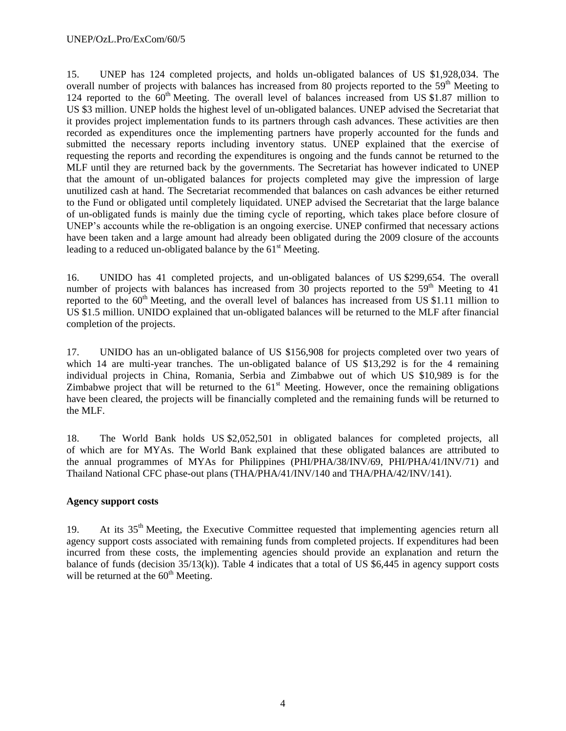15. UNEP has 124 completed projects, and holds un-obligated balances of US \$1,928,034. The overall number of projects with balances has increased from 80 projects reported to the 59<sup>th</sup> Meeting to 124 reported to the 60<sup>th</sup> Meeting. The overall level of balances increased from US \$1.87 million to US \$3 million. UNEP holds the highest level of un-obligated balances. UNEP advised the Secretariat that it provides project implementation funds to its partners through cash advances. These activities are then recorded as expenditures once the implementing partners have properly accounted for the funds and submitted the necessary reports including inventory status. UNEP explained that the exercise of requesting the reports and recording the expenditures is ongoing and the funds cannot be returned to the MLF until they are returned back by the governments. The Secretariat has however indicated to UNEP that the amount of un-obligated balances for projects completed may give the impression of large unutilized cash at hand. The Secretariat recommended that balances on cash advances be either returned to the Fund or obligated until completely liquidated. UNEP advised the Secretariat that the large balance of un-obligated funds is mainly due the timing cycle of reporting, which takes place before closure of UNEP's accounts while the re-obligation is an ongoing exercise. UNEP confirmed that necessary actions have been taken and a large amount had already been obligated during the 2009 closure of the accounts leading to a reduced un-obligated balance by the  $61<sup>st</sup>$  Meeting.

16. UNIDO has 41 completed projects, and un-obligated balances of US \$299,654. The overall number of projects with balances has increased from 30 projects reported to the  $59<sup>th</sup>$  Meeting to 41 reported to the  $60<sup>th</sup>$  Meeting, and the overall level of balances has increased from US \$1.11 million to US \$1.5 million. UNIDO explained that un-obligated balances will be returned to the MLF after financial completion of the projects.

17. UNIDO has an un-obligated balance of US \$156,908 for projects completed over two years of which 14 are multi-year tranches. The un-obligated balance of US \$13,292 is for the 4 remaining individual projects in China, Romania, Serbia and Zimbabwe out of which US \$10,989 is for the Zimbabwe project that will be returned to the  $61<sup>st</sup>$  Meeting. However, once the remaining obligations have been cleared, the projects will be financially completed and the remaining funds will be returned to the MLF.

18. The World Bank holds US \$2,052,501 in obligated balances for completed projects, all of which are for MYAs. The World Bank explained that these obligated balances are attributed to the annual programmes of MYAs for Philippines (PHI/PHA/38/INV/69, PHI/PHA/41/INV/71) and Thailand National CFC phase-out plans (THA/PHA/41/INV/140 and THA/PHA/42/INV/141).

#### **Agency support costs**

19. At its 35th Meeting, the Executive Committee requested that implementing agencies return all agency support costs associated with remaining funds from completed projects. If expenditures had been incurred from these costs, the implementing agencies should provide an explanation and return the balance of funds (decision  $35/13(k)$ ). Table 4 indicates that a total of US \$6,445 in agency support costs will be returned at the  $60<sup>th</sup>$  Meeting.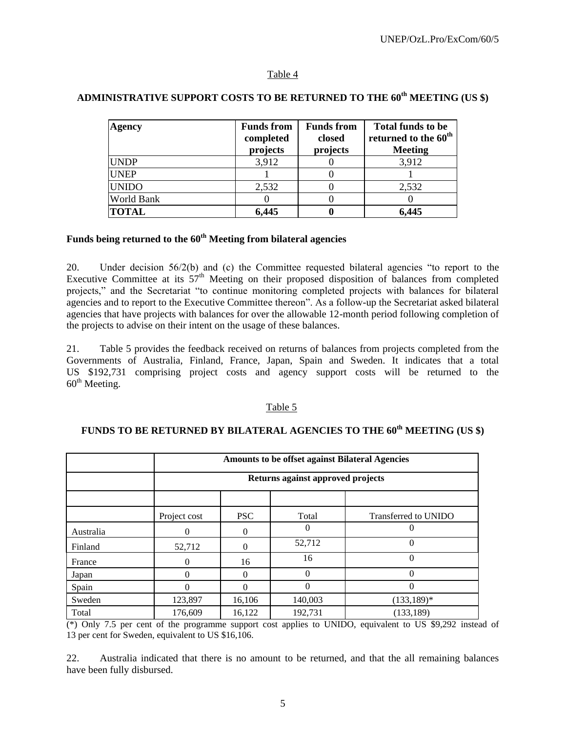#### Table 4

| Agency       | <b>Funds from</b><br>completed<br>projects | <b>Funds from</b><br>closed<br>projects | <b>Total funds to be</b><br>returned to the 60 <sup>th</sup><br><b>Meeting</b> |
|--------------|--------------------------------------------|-----------------------------------------|--------------------------------------------------------------------------------|
| <b>UNDP</b>  | 3,912                                      |                                         | 3,912                                                                          |
| <b>UNEP</b>  |                                            |                                         |                                                                                |
| <b>UNIDO</b> | 2,532                                      |                                         | 2,532                                                                          |
| World Bank   |                                            |                                         |                                                                                |
| <b>TOTAL</b> | 6,445                                      |                                         | 6,445                                                                          |

# **ADMINISTRATIVE SUPPORT COSTS TO BE RETURNED TO THE 60th MEETING (US \$)**

# **Funds being returned to the 60th Meeting from bilateral agencies**

20. Under decision 56/2(b) and (c) the Committee requested bilateral agencies "to report to the Executive Committee at its 57<sup>th</sup> Meeting on their proposed disposition of balances from completed projects," and the Secretariat "to continue monitoring completed projects with balances for bilateral agencies and to report to the Executive Committee thereon". As a follow-up the Secretariat asked bilateral agencies that have projects with balances for over the allowable 12-month period following completion of the projects to advise on their intent on the usage of these balances.

21. Table 5 provides the feedback received on returns of balances from projects completed from the Governments of Australia, Finland, France, Japan, Spain and Sweden. It indicates that a total US \$192,731 comprising project costs and agency support costs will be returned to the  $60<sup>th</sup>$  Meeting.

#### Table 5

### **FUNDS TO BE RETURNED BY BILATERAL AGENCIES TO THE 60th MEETING (US \$)**

|           |              | <b>Amounts to be offset against Bilateral Agencies</b> |                                   |                      |  |  |  |  |  |
|-----------|--------------|--------------------------------------------------------|-----------------------------------|----------------------|--|--|--|--|--|
|           |              |                                                        | Returns against approved projects |                      |  |  |  |  |  |
|           |              |                                                        |                                   |                      |  |  |  |  |  |
|           | Project cost | <b>PSC</b>                                             | Total                             | Transferred to UNIDO |  |  |  |  |  |
| Australia | $\Omega$     | $\Omega$                                               | 0                                 | 0                    |  |  |  |  |  |
| Finland   | 52,712       | $\theta$                                               | 52,712                            | $\theta$             |  |  |  |  |  |
| France    | 0            | 16                                                     | 16                                | $\theta$             |  |  |  |  |  |
| Japan     |              | $\Omega$                                               | 0                                 | 0                    |  |  |  |  |  |
| Spain     |              |                                                        | 0                                 | 0                    |  |  |  |  |  |
| Sweden    | 123,897      | 16,106                                                 | 140,003                           | $(133, 189)^*$       |  |  |  |  |  |
| Total     | 176,609      | 16,122                                                 | 192.731                           | (133, 189)           |  |  |  |  |  |

(\*) Only 7.5 per cent of the programme support cost applies to UNIDO, equivalent to US \$9,292 instead of 13 per cent for Sweden, equivalent to US \$16,106.

22. Australia indicated that there is no amount to be returned, and that the all remaining balances have been fully disbursed.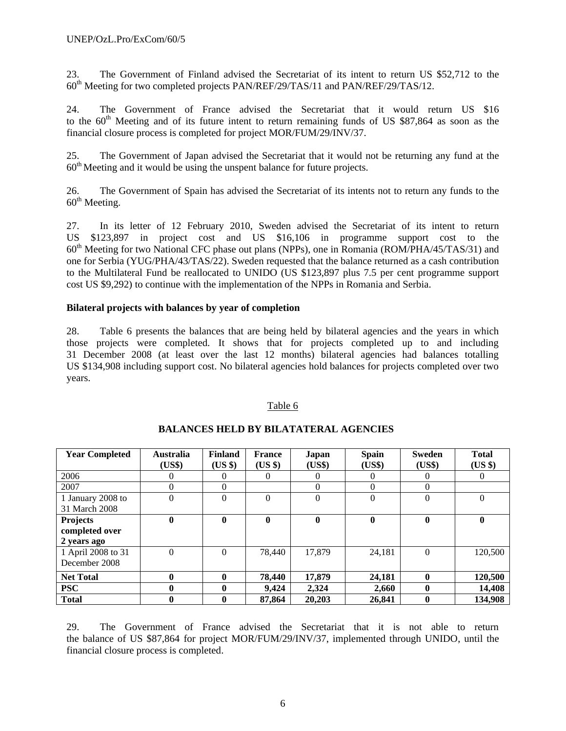23. The Government of Finland advised the Secretariat of its intent to return US \$52,712 to the  $60<sup>th</sup>$  Meeting for two completed projects PAN/REF/29/TAS/11 and PAN/REF/29/TAS/12.

24. The Government of France advised the Secretariat that it would return US \$16 to the 60<sup>th</sup> Meeting and of its future intent to return remaining funds of US \$87,864 as soon as the financial closure process is completed for project MOR/FUM/29/INV/37.

25. The Government of Japan advised the Secretariat that it would not be returning any fund at the  $60<sup>th</sup>$  Meeting and it would be using the unspent balance for future projects.

26. The Government of Spain has advised the Secretariat of its intents not to return any funds to the  $60<sup>th</sup>$  Meeting.

27. In its letter of 12 February 2010, Sweden advised the Secretariat of its intent to return US \$123,897 in project cost and US \$16,106 in programme support cost to the  $60<sup>th</sup>$  Meeting for two National CFC phase out plans (NPPs), one in Romania (ROM/PHA/45/TAS/31) and one for Serbia (YUG/PHA/43/TAS/22). Sweden requested that the balance returned as a cash contribution to the Multilateral Fund be reallocated to UNIDO (US \$123,897 plus 7.5 per cent programme support cost US \$9,292) to continue with the implementation of the NPPs in Romania and Serbia.

#### **Bilateral projects with balances by year of completion**

28. Table 6 presents the balances that are being held by bilateral agencies and the years in which those projects were completed. It shows that for projects completed up to and including 31 December 2008 (at least over the last 12 months) bilateral agencies had balances totalling US \$134,908 including support cost. No bilateral agencies hold balances for projects completed over two years.

#### Table 6

| <b>Year Completed</b>                            | <b>Australia</b><br>(US\$) | <b>Finland</b><br>$(US \$ | <b>France</b><br>(US \$) | Japan<br>(US\$) | <b>Spain</b><br>(US\$) | <b>Sweden</b><br>(US\$) | <b>Total</b><br>(US \$) |
|--------------------------------------------------|----------------------------|---------------------------|--------------------------|-----------------|------------------------|-------------------------|-------------------------|
| 2006                                             | 0                          | $\theta$                  |                          |                 | 0                      |                         | $\overline{0}$          |
| 2007                                             | 0                          | $\Omega$                  |                          | $\Omega$        | $\Omega$               | $\Omega$                |                         |
| 1 January 2008 to<br>31 March 2008               | 0                          | $\Omega$                  | $\Omega$                 | $\theta$        | $\theta$               | $\Omega$                | $\theta$                |
| <b>Projects</b><br>completed over<br>2 years ago | 0                          | $\mathbf{0}$              | $\mathbf 0$              | $\mathbf{0}$    | $\bf{0}$               | $\mathbf 0$             | $\mathbf{0}$            |
| 1 April 2008 to 31<br>December 2008              | $\theta$                   | $\Omega$                  | 78,440                   | 17,879          | 24,181                 | $\Omega$                | 120,500                 |
| <b>Net Total</b>                                 | 0                          | $\mathbf{0}$              | 78,440                   | 17,879          | 24,181                 | $\mathbf{0}$            | 120,500                 |
| <b>PSC</b>                                       | 0                          | $\bf{0}$                  | 9,424                    | 2,324           | 2,660                  | $\mathbf{0}$            | 14,408                  |
| <b>Total</b>                                     |                            | $\mathbf{0}$              | 87,864                   | 20,203          | 26,841                 |                         | 134.908                 |

#### **BALANCES HELD BY BILATATERAL AGENCIES**

29. The Government of France advised the Secretariat that it is not able to return the balance of US \$87,864 for project MOR/FUM/29/INV/37, implemented through UNIDO, until the financial closure process is completed.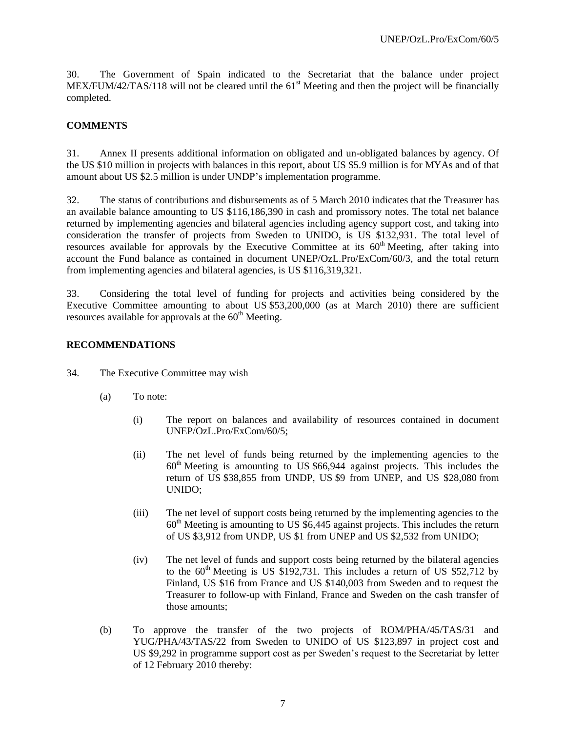30. The Government of Spain indicated to the Secretariat that the balance under project MEX/FUM/42/TAS/118 will not be cleared until the  $61<sup>st</sup>$  Meeting and then the project will be financially completed.

#### **COMMENTS**

31. Annex II presents additional information on obligated and un-obligated balances by agency. Of the US \$10 million in projects with balances in this report, about US \$5.9 million is for MYAs and of that amount about US \$2.5 million is under UNDP's implementation programme.

32. The status of contributions and disbursements as of 5 March 2010 indicates that the Treasurer has an available balance amounting to US \$116,186,390 in cash and promissory notes. The total net balance returned by implementing agencies and bilateral agencies including agency support cost, and taking into consideration the transfer of projects from Sweden to UNIDO, is US \$132,931. The total level of resources available for approvals by the Executive Committee at its  $60<sup>th</sup>$  Meeting, after taking into account the Fund balance as contained in document UNEP/OzL.Pro/ExCom/60/3, and the total return from implementing agencies and bilateral agencies, is US \$116,319,321.

33. Considering the total level of funding for projects and activities being considered by the Executive Committee amounting to about US \$53,200,000 (as at March 2010) there are sufficient resources available for approvals at the  $60<sup>th</sup>$  Meeting.

#### **RECOMMENDATIONS**

- 34. The Executive Committee may wish
	- (a) To note:
		- (i) The report on balances and availability of resources contained in document UNEP/OzL.Pro/ExCom/60/5;
		- (ii) The net level of funds being returned by the implementing agencies to the  $60<sup>th</sup>$  Meeting is amounting to US \$66,944 against projects. This includes the return of US \$38,855 from UNDP, US \$9 from UNEP, and US \$28,080 from UNIDO;
		- (iii) The net level of support costs being returned by the implementing agencies to the  $60<sup>th</sup>$  Meeting is amounting to US \$6,445 against projects. This includes the return of US \$3,912 from UNDP, US \$1 from UNEP and US \$2,532 from UNIDO;
		- (iv) The net level of funds and support costs being returned by the bilateral agencies to the  $60<sup>th</sup>$  Meeting is US \$192,731. This includes a return of US \$52,712 by Finland, US \$16 from France and US \$140,003 from Sweden and to request the Treasurer to follow-up with Finland, France and Sweden on the cash transfer of those amounts;
	- (b) To approve the transfer of the two projects of ROM/PHA/45/TAS/31 and YUG/PHA/43/TAS/22 from Sweden to UNIDO of US \$123,897 in project cost and US \$9,292 in programme support cost as per Sweden's request to the Secretariat by letter of 12 February 2010 thereby: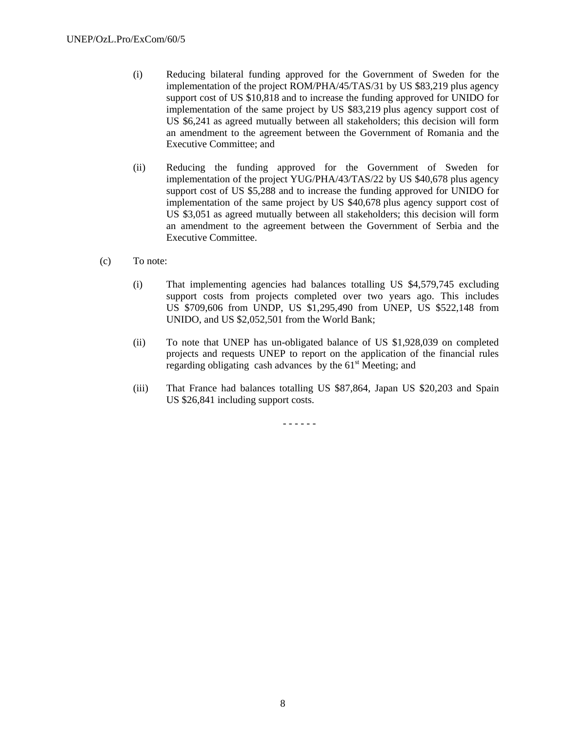- (i) Reducing bilateral funding approved for the Government of Sweden for the implementation of the project ROM/PHA/45/TAS/31 by US \$83,219 plus agency support cost of US \$10,818 and to increase the funding approved for UNIDO for implementation of the same project by US \$83,219 plus agency support cost of US \$6,241 as agreed mutually between all stakeholders; this decision will form an amendment to the agreement between the Government of Romania and the Executive Committee; and
- (ii) Reducing the funding approved for the Government of Sweden for implementation of the project YUG/PHA/43/TAS/22 by US \$40,678 plus agency support cost of US \$5,288 and to increase the funding approved for UNIDO for implementation of the same project by US \$40,678 plus agency support cost of US \$3,051 as agreed mutually between all stakeholders; this decision will form an amendment to the agreement between the Government of Serbia and the Executive Committee.
- (c) To note:
	- (i) That implementing agencies had balances totalling US \$4,579,745 excluding support costs from projects completed over two years ago. This includes US \$709,606 from UNDP, US \$1,295,490 from UNEP, US \$522,148 from UNIDO, and US \$2,052,501 from the World Bank;
	- (ii) To note that UNEP has un-obligated balance of US \$1,928,039 on completed projects and requests UNEP to report on the application of the financial rules regarding obligating cash advances by the  $61<sup>st</sup>$  Meeting; and
	- (iii) That France had balances totalling US \$87,864, Japan US \$20,203 and Spain US \$26,841 including support costs.

- - - - - -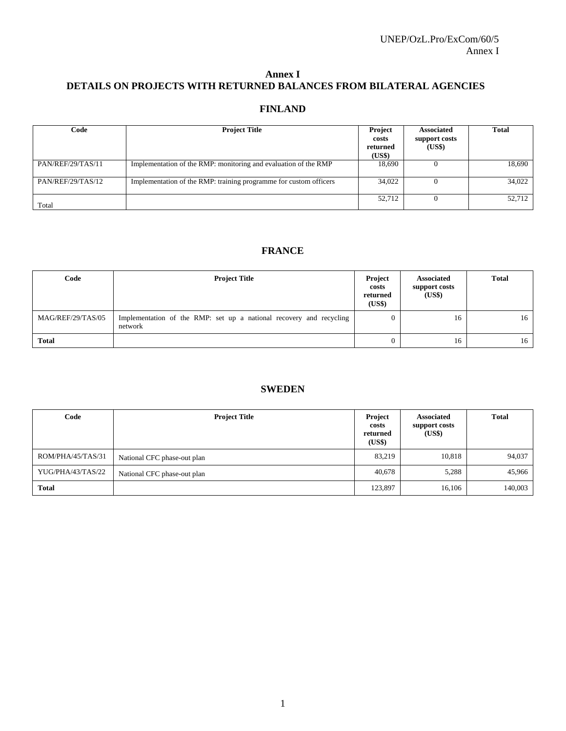### **Annex I DETAILS ON PROJECTS WITH RETURNED BALANCES FROM BILATERAL AGENCIES**

## **FINLAND**

| Code              | <b>Project Title</b>                                              | Project<br>costs<br>returned<br>(US\$) | <b>Associated</b><br>support costs<br>(US\$) | <b>Total</b> |
|-------------------|-------------------------------------------------------------------|----------------------------------------|----------------------------------------------|--------------|
| PAN/REF/29/TAS/11 | Implementation of the RMP: monitoring and evaluation of the RMP   | 18.690                                 |                                              | 18,690       |
| PAN/REF/29/TAS/12 | Implementation of the RMP: training programme for custom officers | 34,022                                 |                                              | 34,022       |
| Total             |                                                                   | 52.712                                 | 0                                            | 52,712       |

## **FRANCE**

| Code              | <b>Project Title</b>                                                           | Project<br>costs<br>returned<br>(US\$) | <b>Associated</b><br>support costs<br>(US\$) | <b>Total</b> |
|-------------------|--------------------------------------------------------------------------------|----------------------------------------|----------------------------------------------|--------------|
| MAG/REF/29/TAS/05 | Implementation of the RMP: set up a national recovery and recycling<br>network |                                        | 16                                           | 16           |
| Total             |                                                                                |                                        | 16                                           | 16           |

#### **SWEDEN**

| Code              | <b>Project Title</b>        | Project<br>costs<br>returned<br>(US\$) | <b>Associated</b><br>support costs<br>(US\$) | <b>Total</b> |
|-------------------|-----------------------------|----------------------------------------|----------------------------------------------|--------------|
| ROM/PHA/45/TAS/31 | National CFC phase-out plan | 83,219                                 | 10,818                                       | 94,037       |
| YUG/PHA/43/TAS/22 | National CFC phase-out plan | 40,678                                 | 5,288                                        | 45,966       |
| <b>Total</b>      |                             | 123,897                                | 16,106                                       | 140,003      |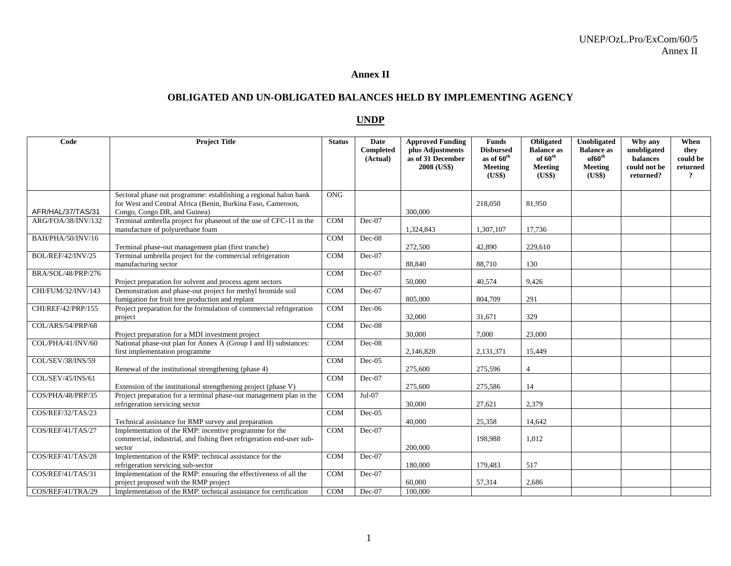### **Annex II**

### **OBLIGATED AND UN-OBLIGATED BALANCES HELD BY IMPLEMENTING AGENCY**

## **UNDP**

| Code               | <b>Project Title</b>                                                                                                                                            | <b>Status</b> | Date<br>Completed<br>(Actual) | <b>Approved Funding</b><br>plus Adjustments<br>as of 31 December<br>2008 (US\$) | <b>Funds</b><br><b>Disbursed</b><br>as of 60 <sup>th</sup><br><b>Meeting</b><br>(US\$) | Obligated<br><b>Balance as</b><br>of $60^{\text{th}}$<br><b>Meeting</b><br>(US\$) | Unobligated<br><b>Balance as</b><br>of60 <sup>th</sup><br>Meeting<br>(US\$) | Why any<br>unobligated<br>balances<br>could not be<br>returned? | When<br>they<br>could be<br>returned<br>$\overline{?}$ |
|--------------------|-----------------------------------------------------------------------------------------------------------------------------------------------------------------|---------------|-------------------------------|---------------------------------------------------------------------------------|----------------------------------------------------------------------------------------|-----------------------------------------------------------------------------------|-----------------------------------------------------------------------------|-----------------------------------------------------------------|--------------------------------------------------------|
|                    |                                                                                                                                                                 |               |                               |                                                                                 |                                                                                        |                                                                                   |                                                                             |                                                                 |                                                        |
| AFR/HAL/37/TAS/31  | Sectoral phase out programme: establishing a regional halon bank<br>for West and Central Africa (Benin, Burkina Faso, Cameroon,<br>Congo, Congo DR, and Guinea) | <b>ONG</b>    |                               | 300,000                                                                         | 218,050                                                                                | 81.950                                                                            |                                                                             |                                                                 |                                                        |
| ARG/FOA/38/INV/132 | Terminal umbrella project for phaseout of the use of CFC-11 in the<br>manufacture of polyurethane foam                                                          | COM           | $Dec-07$                      | 1,324,843                                                                       | 1,307,107                                                                              | 17,736                                                                            |                                                                             |                                                                 |                                                        |
| BAH/PHA/50/INV/16  | Terminal phase-out management plan (first tranche)                                                                                                              | <b>COM</b>    | $Dec-08$                      | 272,500                                                                         | 42,890                                                                                 | 229,610                                                                           |                                                                             |                                                                 |                                                        |
| BOL/REF/42/INV/25  | Terminal umbrella project for the commercial refrigeration<br>manufacturing sector                                                                              | <b>COM</b>    | $Dec-07$                      | 88,840                                                                          | 88,710                                                                                 | 130                                                                               |                                                                             |                                                                 |                                                        |
| BRA/SOL/48/PRP/276 | Project preparation for solvent and process agent sectors                                                                                                       | <b>COM</b>    | $Dec-07$                      | 50,000                                                                          | 40,574                                                                                 | 9,426                                                                             |                                                                             |                                                                 |                                                        |
| CHI/FUM/32/INV/143 | Demonstration and phase-out project for methyl bromide soil<br>fumigation for fruit tree production and replant                                                 | <b>COM</b>    | $Dec-07$                      | 805,000                                                                         | 804,709                                                                                | 291                                                                               |                                                                             |                                                                 |                                                        |
| CHI/REF/42/PRP/155 | Project preparation for the formulation of commercial refrigeration<br>project                                                                                  | <b>COM</b>    | $Dec-06$                      | 32,000                                                                          | 31,671                                                                                 | 329                                                                               |                                                                             |                                                                 |                                                        |
| COL/ARS/54/PRP/68  | Project preparation for a MDI investment project                                                                                                                | <b>COM</b>    | $Dec-08$                      | 30,000                                                                          | 7,000                                                                                  | 23,000                                                                            |                                                                             |                                                                 |                                                        |
| COL/PHA/41/INV/60  | National phase-out plan for Annex A (Group I and II) substances:<br>first implementation programme                                                              | <b>COM</b>    | $Dec-08$                      | 2,146,820                                                                       | 2,131,371                                                                              | 15,449                                                                            |                                                                             |                                                                 |                                                        |
| COL/SEV/38/INS/59  | Renewal of the institutional strengthening (phase 4)                                                                                                            | <b>COM</b>    | $Dec-05$                      | 275,600                                                                         | 275,596                                                                                | $\overline{4}$                                                                    |                                                                             |                                                                 |                                                        |
| COL/SEV/45/INS/61  | Extension of the institutional strengthening project (phase V)                                                                                                  | <b>COM</b>    | $Dec-07$                      | 275,600                                                                         | 275,586                                                                                | 14                                                                                |                                                                             |                                                                 |                                                        |
| COS/PHA/48/PRP/35  | Project preparation for a terminal phase-out management plan in the<br>refrigeration servicing sector                                                           | COM           | $Jul-07$                      | 30,000                                                                          | 27,621                                                                                 | 2,379                                                                             |                                                                             |                                                                 |                                                        |
| COS/REF/32/TAS/23  | Technical assistance for RMP survey and preparation                                                                                                             | <b>COM</b>    | $Dec-05$                      | 40,000                                                                          | 25,358                                                                                 | 14,642                                                                            |                                                                             |                                                                 |                                                        |
| COS/REF/41/TAS/27  | Implementation of the RMP: incentive programme for the<br>commercial, industrial, and fishing fleet refrigeration end-user sub-<br>sector                       | <b>COM</b>    | $Dec-07$                      | 200,000                                                                         | 198,988                                                                                | 1,012                                                                             |                                                                             |                                                                 |                                                        |
| COS/REF/41/TAS/28  | Implementation of the RMP: technical assistance for the<br>refrigeration servicing sub-sector                                                                   | <b>COM</b>    | $Dec-07$                      | 180,000                                                                         | 179,483                                                                                | 517                                                                               |                                                                             |                                                                 |                                                        |
| COS/REF/41/TAS/31  | Implementation of the RMP: ensuring the effectiveness of all the<br>project proposed with the RMP project                                                       | <b>COM</b>    | $Dec-07$                      | 60,000                                                                          | 57,314                                                                                 | 2,686                                                                             |                                                                             |                                                                 |                                                        |
| COS/REF/41/TRA/29  | Implementation of the RMP: technical assistance for certification                                                                                               | <b>COM</b>    | $Dec-07$                      | 100,000                                                                         |                                                                                        |                                                                                   |                                                                             |                                                                 |                                                        |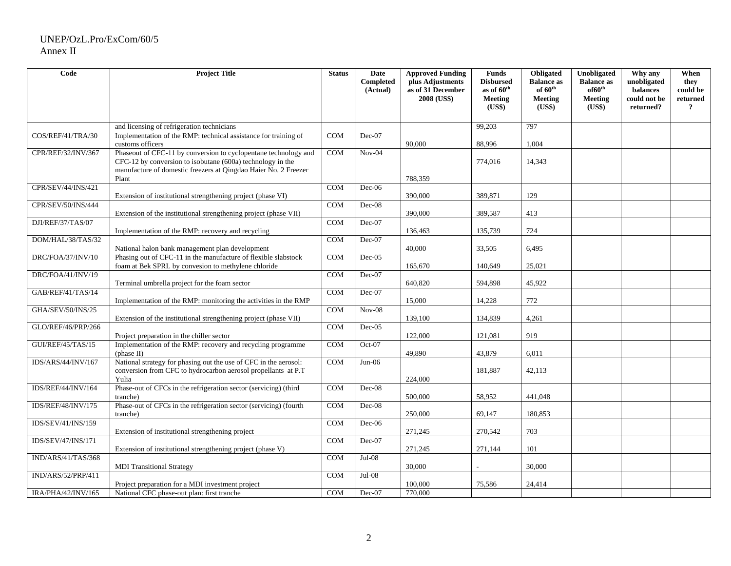| Code               | <b>Project Title</b>                                                                                                                                                                                 | <b>Status</b> | Date<br><b>Completed</b><br>(Actual) | <b>Approved Funding</b><br>plus Adjustments<br>as of 31 December<br>2008 (US\$) | <b>Funds</b><br><b>Disbursed</b><br>as of 60 <sup>th</sup><br><b>Meeting</b><br>(US\$) | Obligated<br><b>Balance as</b><br>of $60^{\text{th}}$<br><b>Meeting</b><br>(US\$) | Unobligated<br><b>Balance as</b><br>of 60 <sup>th</sup><br>Meeting<br>(US\$) | Why any<br>unobligated<br>balances<br>could not be<br>returned? | When<br>they<br>could be<br>returned<br>$\overline{\mathbf{?}}$ |
|--------------------|------------------------------------------------------------------------------------------------------------------------------------------------------------------------------------------------------|---------------|--------------------------------------|---------------------------------------------------------------------------------|----------------------------------------------------------------------------------------|-----------------------------------------------------------------------------------|------------------------------------------------------------------------------|-----------------------------------------------------------------|-----------------------------------------------------------------|
|                    | and licensing of refrigeration technicians                                                                                                                                                           |               |                                      |                                                                                 | 99,203                                                                                 | 797                                                                               |                                                                              |                                                                 |                                                                 |
| COS/REF/41/TRA/30  | Implementation of the RMP: technical assistance for training of<br>customs officers                                                                                                                  | <b>COM</b>    | $Dec-07$                             | 90,000                                                                          | 88,996                                                                                 | 1,004                                                                             |                                                                              |                                                                 |                                                                 |
| CPR/REF/32/INV/367 | Phaseout of CFC-11 by conversion to cyclopentane technology and<br>$CFC-12$ by conversion to isobutane $(600a)$ technology in the<br>manufacture of domestic freezers at Qingdao Haier No. 2 Freezer | <b>COM</b>    | $Nov-04$                             |                                                                                 | 774,016                                                                                | 14,343                                                                            |                                                                              |                                                                 |                                                                 |
|                    | Plant                                                                                                                                                                                                |               |                                      | 788,359                                                                         |                                                                                        |                                                                                   |                                                                              |                                                                 |                                                                 |
| CPR/SEV/44/INS/421 | Extension of institutional strengthening project (phase VI)                                                                                                                                          | COM           | Dec-06                               | 390,000                                                                         | 389,871                                                                                | 129                                                                               |                                                                              |                                                                 |                                                                 |
| CPR/SEV/50/INS/444 | Extension of the institutional strengthening project (phase VII)                                                                                                                                     | <b>COM</b>    | $Dec-08$                             | 390,000                                                                         | 389,587                                                                                | 413                                                                               |                                                                              |                                                                 |                                                                 |
| DJI/REF/37/TAS/07  |                                                                                                                                                                                                      | <b>COM</b>    | $Dec-07$                             |                                                                                 |                                                                                        |                                                                                   |                                                                              |                                                                 |                                                                 |
|                    | Implementation of the RMP: recovery and recycling                                                                                                                                                    |               |                                      | 136,463                                                                         | 135,739                                                                                | 724                                                                               |                                                                              |                                                                 |                                                                 |
| DOM/HAL/38/TAS/32  | National halon bank management plan development                                                                                                                                                      | <b>COM</b>    | $Dec-07$                             | 40,000                                                                          | 33,505                                                                                 | 6,495                                                                             |                                                                              |                                                                 |                                                                 |
| DRC/FOA/37/INV/10  | Phasing out of CFC-11 in the manufacture of flexible slabstock<br>foam at Bek SPRL by convesion to methylene chloride                                                                                | <b>COM</b>    | $Dec-05$                             | 165,670                                                                         | 140.649                                                                                | 25,021                                                                            |                                                                              |                                                                 |                                                                 |
| DRC/FOA/41/INV/19  | Terminal umbrella project for the foam sector                                                                                                                                                        | COM           | $Dec-07$                             | 640,820                                                                         | 594,898                                                                                | 45,922                                                                            |                                                                              |                                                                 |                                                                 |
| GAB/REF/41/TAS/14  | Implementation of the RMP: monitoring the activities in the RMP                                                                                                                                      | <b>COM</b>    | $Dec-07$                             | 15,000                                                                          | 14,228                                                                                 | 772                                                                               |                                                                              |                                                                 |                                                                 |
| GHA/SEV/50/INS/25  | Extension of the institutional strengthening project (phase VII)                                                                                                                                     | COM           | $Nov-08$                             | 139,100                                                                         | 134,839                                                                                | 4,261                                                                             |                                                                              |                                                                 |                                                                 |
| GLO/REF/46/PRP/266 | Project preparation in the chiller sector                                                                                                                                                            | COM           | $Dec-05$                             | 122,000                                                                         | 121,081                                                                                | 919                                                                               |                                                                              |                                                                 |                                                                 |
| GUI/REF/45/TAS/15  | Implementation of the RMP: recovery and recycling programme<br>(phase II)                                                                                                                            | COM           | $Oct-07$                             | 49,890                                                                          | 43,879                                                                                 | 6,011                                                                             |                                                                              |                                                                 |                                                                 |
| IDS/ARS/44/INV/167 | National strategy for phasing out the use of CFC in the aerosol:<br>conversion from CFC to hydrocarbon aerosol propellants at P.T<br>Yulia                                                           | <b>COM</b>    | $Jun-06$                             | 224,000                                                                         | 181.887                                                                                | 42,113                                                                            |                                                                              |                                                                 |                                                                 |
| IDS/REF/44/INV/164 | Phase-out of CFCs in the refrigeration sector (servicing) (third<br>tranche)                                                                                                                         | COM           | $Dec-08$                             | 500,000                                                                         | 58,952                                                                                 | 441,048                                                                           |                                                                              |                                                                 |                                                                 |
| IDS/REF/48/INV/175 | Phase-out of CFCs in the refrigeration sector (servicing) (fourth<br>tranche)                                                                                                                        | <b>COM</b>    | $Dec-08$                             | 250,000                                                                         | 69,147                                                                                 | 180,853                                                                           |                                                                              |                                                                 |                                                                 |
| IDS/SEV/41/INS/159 | Extension of institutional strengthening project                                                                                                                                                     | <b>COM</b>    | $Dec-06$                             | 271,245                                                                         | 270,542                                                                                | 703                                                                               |                                                                              |                                                                 |                                                                 |
| IDS/SEV/47/INS/171 | Extension of institutional strengthening project (phase V)                                                                                                                                           | <b>COM</b>    | $Dec-07$                             | 271,245                                                                         | 271,144                                                                                | 101                                                                               |                                                                              |                                                                 |                                                                 |
| IND/ARS/41/TAS/368 | <b>MDI</b> Transitional Strategy                                                                                                                                                                     | <b>COM</b>    | $Jul-08$                             | 30,000                                                                          |                                                                                        | 30,000                                                                            |                                                                              |                                                                 |                                                                 |
| IND/ARS/52/PRP/411 |                                                                                                                                                                                                      | <b>COM</b>    | $Jul-08$                             |                                                                                 |                                                                                        |                                                                                   |                                                                              |                                                                 |                                                                 |
|                    | Project preparation for a MDI investment project                                                                                                                                                     |               |                                      | 100,000                                                                         | 75,586                                                                                 | 24,414                                                                            |                                                                              |                                                                 |                                                                 |
| IRA/PHA/42/INV/165 | National CFC phase-out plan: first tranche                                                                                                                                                           | COM           | $Dec-07$                             | 770,000                                                                         |                                                                                        |                                                                                   |                                                                              |                                                                 |                                                                 |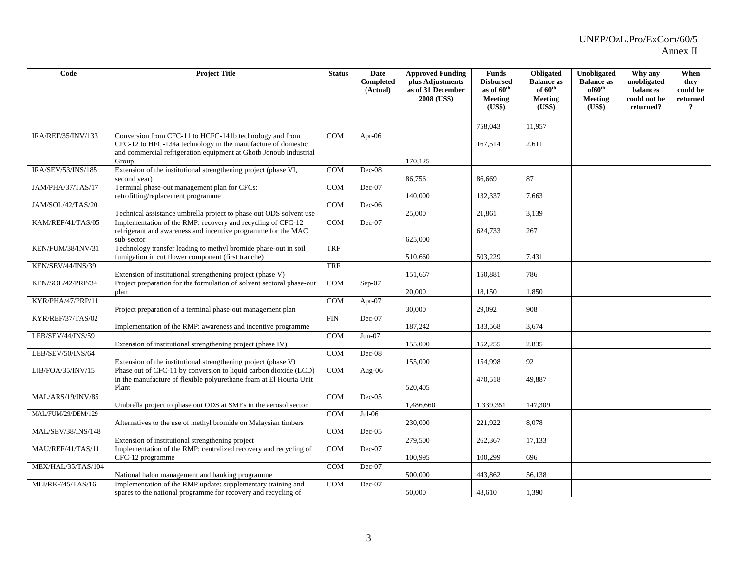| Code                      | <b>Project Title</b>                                                                                                                                                                         | <b>Status</b> | Date<br>Completed<br>(Actual) | <b>Approved Funding</b><br>plus Adjustments<br>as of 31 December<br>2008 (US\$) | <b>Funds</b><br><b>Disbursed</b><br>as of 60 <sup>th</sup><br><b>Meeting</b><br>(US\$) | Obligated<br><b>Balance as</b><br>of $60^{\text{th}}$<br><b>Meeting</b><br>(US\$) | <b>Unobligated</b><br><b>Balance as</b><br>of 60 <sup>th</sup><br>Meeting<br>(US\$) | Why any<br>unobligated<br>balances<br>could not be<br>returned? | When<br>they<br>could be<br>returned<br>$\overline{?}$ |
|---------------------------|----------------------------------------------------------------------------------------------------------------------------------------------------------------------------------------------|---------------|-------------------------------|---------------------------------------------------------------------------------|----------------------------------------------------------------------------------------|-----------------------------------------------------------------------------------|-------------------------------------------------------------------------------------|-----------------------------------------------------------------|--------------------------------------------------------|
|                           |                                                                                                                                                                                              |               |                               |                                                                                 |                                                                                        |                                                                                   |                                                                                     |                                                                 |                                                        |
|                           |                                                                                                                                                                                              |               |                               |                                                                                 | 758,043                                                                                | 11,957                                                                            |                                                                                     |                                                                 |                                                        |
| IRA/REF/35/INV/133        | Conversion from CFC-11 to HCFC-141b technology and from<br>CFC-12 to HFC-134a technology in the manufacture of domestic<br>and commercial refrigeration equipment at Ghotb Jonoub Industrial | COM           | Apr-06                        |                                                                                 | 167,514                                                                                | 2,611                                                                             |                                                                                     |                                                                 |                                                        |
|                           | Group                                                                                                                                                                                        |               |                               | 170,125                                                                         |                                                                                        |                                                                                   |                                                                                     |                                                                 |                                                        |
| IRA/SEV/53/INS/185        | Extension of the institutional strengthening project (phase VI,<br>second year)                                                                                                              | COM           | $Dec-08$                      | 86,756                                                                          | 86,669                                                                                 | 87                                                                                |                                                                                     |                                                                 |                                                        |
| JAM/PHA/37/TAS/17         | Terminal phase-out management plan for CFCs:<br>retrofitting/replacement programme                                                                                                           | <b>COM</b>    | $Dec-07$                      | 140,000                                                                         | 132,337                                                                                | 7,663                                                                             |                                                                                     |                                                                 |                                                        |
| JAM/SOL/42/TAS/20         | Technical assistance umbrella project to phase out ODS solvent use                                                                                                                           | COM           | $Dec-06$                      | 25,000                                                                          | 21,861                                                                                 | 3,139                                                                             |                                                                                     |                                                                 |                                                        |
| KAM/REF/41/TAS/05         | Implementation of the RMP: recovery and recycling of CFC-12<br>refrigerant and awareness and incentive programme for the MAC<br>sub-sector                                                   | <b>COM</b>    | Dec-07                        | 625,000                                                                         | 624,733                                                                                | 267                                                                               |                                                                                     |                                                                 |                                                        |
| KEN/FUM/38/INV/31         | Technology transfer leading to methyl bromide phase-out in soil<br>fumigation in cut flower component (first tranche)                                                                        | <b>TRF</b>    |                               | 510,660                                                                         | 503,229                                                                                | 7.431                                                                             |                                                                                     |                                                                 |                                                        |
| KEN/SEV/44/INS/39         | Extension of institutional strengthening project (phase V)                                                                                                                                   | TRF           |                               | 151,667                                                                         | 150,881                                                                                | 786                                                                               |                                                                                     |                                                                 |                                                        |
| KEN/SOL/42/PRP/34         | Project preparation for the formulation of solvent sectoral phase-out<br>plan                                                                                                                | COM           | $Sep-07$                      | 20,000                                                                          | 18,150                                                                                 | 1,850                                                                             |                                                                                     |                                                                 |                                                        |
| KYR/PHA/47/PRP/11         | Project preparation of a terminal phase-out management plan                                                                                                                                  | <b>COM</b>    | Apr-07                        | 30,000                                                                          | 29,092                                                                                 | 908                                                                               |                                                                                     |                                                                 |                                                        |
| KYR/REF/37/TAS/02         | Implementation of the RMP: awareness and incentive programme                                                                                                                                 | <b>FIN</b>    | $Dec-07$                      | 187,242                                                                         | 183,568                                                                                | 3,674                                                                             |                                                                                     |                                                                 |                                                        |
| LEB/SEV/44/INS/59         | Extension of institutional strengthening project (phase IV)                                                                                                                                  | <b>COM</b>    | $Jun-07$                      | 155,090                                                                         | 152,255                                                                                | 2,835                                                                             |                                                                                     |                                                                 |                                                        |
| LEB/SEV/50/INS/64         | Extension of the institutional strengthening project (phase V)                                                                                                                               | COM           | $Dec-08$                      | 155,090                                                                         | 154,998                                                                                | 92                                                                                |                                                                                     |                                                                 |                                                        |
| LIB/FOA/35/INV/15         | Phase out of CFC-11 by conversion to liquid carbon dioxide (LCD)<br>in the manufacture of flexible polyurethane foam at El Houria Unit<br>Plant                                              | COM           | $\overline{Aug}$ -06          | 520,405                                                                         | 470,518                                                                                | 49,887                                                                            |                                                                                     |                                                                 |                                                        |
| MAL/ARS/19/INV/85         | Umbrella project to phase out ODS at SMEs in the aerosol sector                                                                                                                              | COM           | $Dec-05$                      | 1,486,660                                                                       | 1,339,351                                                                              | 147,309                                                                           |                                                                                     |                                                                 |                                                        |
| MAL/FUM/29/DEM/129        | Alternatives to the use of methyl bromide on Malaysian timbers                                                                                                                               | COM           | $Jul-06$                      | 230,000                                                                         | 221,922                                                                                | 8,078                                                                             |                                                                                     |                                                                 |                                                        |
| <b>MAL/SEV/38/INS/148</b> | Extension of institutional strengthening project                                                                                                                                             | <b>COM</b>    | $Dec-05$                      | 279,500                                                                         | 262,367                                                                                | 17,133                                                                            |                                                                                     |                                                                 |                                                        |
| MAU/REF/41/TAS/11         | Implementation of the RMP: centralized recovery and recycling of<br>CFC-12 programme                                                                                                         | COM           | $Dec-07$                      | 100,995                                                                         | 100,299                                                                                | 696                                                                               |                                                                                     |                                                                 |                                                        |
| MEX/HAL/35/TAS/104        | National halon management and banking programme                                                                                                                                              | <b>COM</b>    | $Dec-07$                      | 500,000                                                                         | 443,862                                                                                | 56,138                                                                            |                                                                                     |                                                                 |                                                        |
| MLI/REF/45/TAS/16         | Implementation of the RMP update: supplementary training and<br>spares to the national programme for recovery and recycling of                                                               | <b>COM</b>    | $Dec-07$                      | 50,000                                                                          | 48,610                                                                                 | 1,390                                                                             |                                                                                     |                                                                 |                                                        |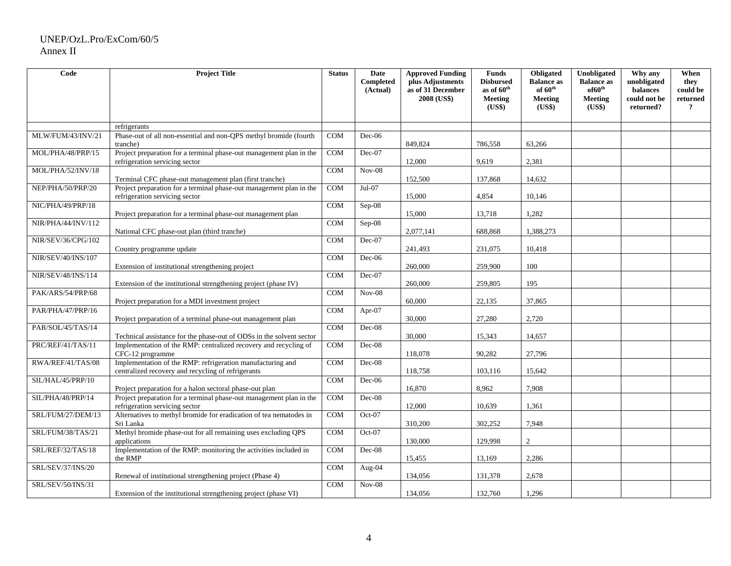| Code               | <b>Project Title</b>                                                                                                          | <b>Status</b> | Date<br><b>Completed</b><br>(Actual) | <b>Approved Funding</b><br>plus Adjustments<br>as of 31 December | <b>Funds</b><br><b>Disbursed</b><br>as of 60 <sup>th</sup> | <b>Obligated</b><br><b>Balance as</b><br>of $60^{\text{th}}$ | Unobligated<br><b>Balance as</b><br>of 60 <sup>th</sup> | Why any<br>unobligated<br>balances | When<br>they<br>could be   |
|--------------------|-------------------------------------------------------------------------------------------------------------------------------|---------------|--------------------------------------|------------------------------------------------------------------|------------------------------------------------------------|--------------------------------------------------------------|---------------------------------------------------------|------------------------------------|----------------------------|
|                    |                                                                                                                               |               |                                      | 2008 (US\$)                                                      | <b>Meeting</b><br>(US\$)                                   | <b>Meeting</b><br>(US\$)                                     | Meeting<br>(US\$)                                       | could not be<br>returned?          | returned<br>$\overline{?}$ |
|                    | refrigerants                                                                                                                  |               |                                      |                                                                  |                                                            |                                                              |                                                         |                                    |                            |
| MLW/FUM/43/INV/21  | Phase-out of all non-essential and non-QPS methyl bromide (fourth                                                             | COM           | $Dec-06$                             |                                                                  |                                                            |                                                              |                                                         |                                    |                            |
|                    | tranche)                                                                                                                      |               |                                      | 849.824                                                          | 786,558                                                    | 63,266                                                       |                                                         |                                    |                            |
| MOL/PHA/48/PRP/15  | Project preparation for a terminal phase-out management plan in the<br>refrigeration servicing sector                         | <b>COM</b>    | Dec-07                               | 12,000                                                           | 9,619                                                      | 2,381                                                        |                                                         |                                    |                            |
| MOL/PHA/52/INV/18  |                                                                                                                               | COM           | $Nov-08$                             |                                                                  |                                                            |                                                              |                                                         |                                    |                            |
| NEP/PHA/50/PRP/20  | Terminal CFC phase-out management plan (first tranche)<br>Project preparation for a terminal phase-out management plan in the | <b>COM</b>    | Jul-07                               | 152,500                                                          | 137,868                                                    | 14,632                                                       |                                                         |                                    |                            |
|                    | refrigeration servicing sector                                                                                                |               |                                      | 15,000                                                           | 4,854                                                      | 10,146                                                       |                                                         |                                    |                            |
| NIC/PHA/49/PRP/18  |                                                                                                                               | COM           | $Sep-08$                             |                                                                  |                                                            |                                                              |                                                         |                                    |                            |
|                    | Project preparation for a terminal phase-out management plan                                                                  |               |                                      | 15,000                                                           | 13,718                                                     | 1,282                                                        |                                                         |                                    |                            |
| NIR/PHA/44/INV/112 | National CFC phase-out plan (third tranche)                                                                                   | <b>COM</b>    | $Sep-08$                             | 2,077,141                                                        | 688,868                                                    | 1,388,273                                                    |                                                         |                                    |                            |
| NIR/SEV/36/CPG/102 |                                                                                                                               | COM           | $Dec-07$                             |                                                                  |                                                            |                                                              |                                                         |                                    |                            |
|                    | Country programme update                                                                                                      |               |                                      | 241,493                                                          | 231,075                                                    | 10,418                                                       |                                                         |                                    |                            |
| NIR/SEV/40/INS/107 | Extension of institutional strengthening project                                                                              | <b>COM</b>    | $Dec-06$                             | 260,000                                                          | 259,900                                                    | 100                                                          |                                                         |                                    |                            |
| NIR/SEV/48/INS/114 | Extension of the institutional strengthening project (phase IV)                                                               | COM           | $Dec-07$                             | 260,000                                                          | 259,805                                                    | 195                                                          |                                                         |                                    |                            |
| PAK/ARS/54/PRP/68  | Project preparation for a MDI investment project                                                                              | COM           | $Nov-08$                             | 60,000                                                           | 22,135                                                     | 37,865                                                       |                                                         |                                    |                            |
| PAR/PHA/47/PRP/16  | Project preparation of a terminal phase-out management plan                                                                   | <b>COM</b>    | Apr-07                               | 30,000                                                           | 27,280                                                     | 2,720                                                        |                                                         |                                    |                            |
| PAR/SOL/45/TAS/14  |                                                                                                                               | <b>COM</b>    | $Dec-08$                             |                                                                  |                                                            |                                                              |                                                         |                                    |                            |
|                    | Technical assistance for the phase-out of ODSs in the solvent sector                                                          |               |                                      | 30,000                                                           | 15,343                                                     | 14,657                                                       |                                                         |                                    |                            |
| PRC/REF/41/TAS/11  | Implementation of the RMP: centralized recovery and recycling of<br>CFC-12 programme                                          | COM           | $Dec-08$                             | 118,078                                                          | 90,282                                                     | 27,796                                                       |                                                         |                                    |                            |
| RWA/REF/41/TAS/08  | Implementation of the RMP: refrigeration manufacturing and<br>centralized recovery and recycling of refrigerants              | <b>COM</b>    | $Dec-08$                             | 118,758                                                          | 103,116                                                    | 15,642                                                       |                                                         |                                    |                            |
| SIL/HAL/45/PRP/10  | Project preparation for a halon sectoral phase-out plan                                                                       | <b>COM</b>    | $Dec-06$                             | 16,870                                                           | 8,962                                                      | 7,908                                                        |                                                         |                                    |                            |
| SIL/PHA/48/PRP/14  | Project preparation for a terminal phase-out management plan in the<br>refrigeration servicing sector                         | <b>COM</b>    | $Dec-08$                             | 12,000                                                           | 10,639                                                     | 1,361                                                        |                                                         |                                    |                            |
| SRL/FUM/27/DEM/13  | Alternatives to methyl bromide for eradication of tea nematodes in<br>Sri Lanka                                               | COM           | $Oct-07$                             | 310,200                                                          | 302,252                                                    | 7,948                                                        |                                                         |                                    |                            |
| SRL/FUM/38/TAS/21  | Methyl bromide phase-out for all remaining uses excluding QPS<br>applications                                                 | COM           | $Oct-07$                             | 130,000                                                          | 129,998                                                    | $\overline{2}$                                               |                                                         |                                    |                            |
| SRL/REF/32/TAS/18  | Implementation of the RMP: monitoring the activities included in<br>the RMP                                                   | <b>COM</b>    | $Dec-08$                             | 15,455                                                           | 13,169                                                     | 2,286                                                        |                                                         |                                    |                            |
| SRL/SEV/37/INS/20  | Renewal of institutional strengthening project (Phase 4)                                                                      | COM           | Aug-04                               | 134,056                                                          | 131,378                                                    | 2,678                                                        |                                                         |                                    |                            |
| SRL/SEV/50/INS/31  |                                                                                                                               | <b>COM</b>    | $Nov-08$                             |                                                                  |                                                            |                                                              |                                                         |                                    |                            |
|                    | Extension of the institutional strengthening project (phase VI)                                                               |               |                                      | 134.056                                                          | 132,760                                                    | 1.296                                                        |                                                         |                                    |                            |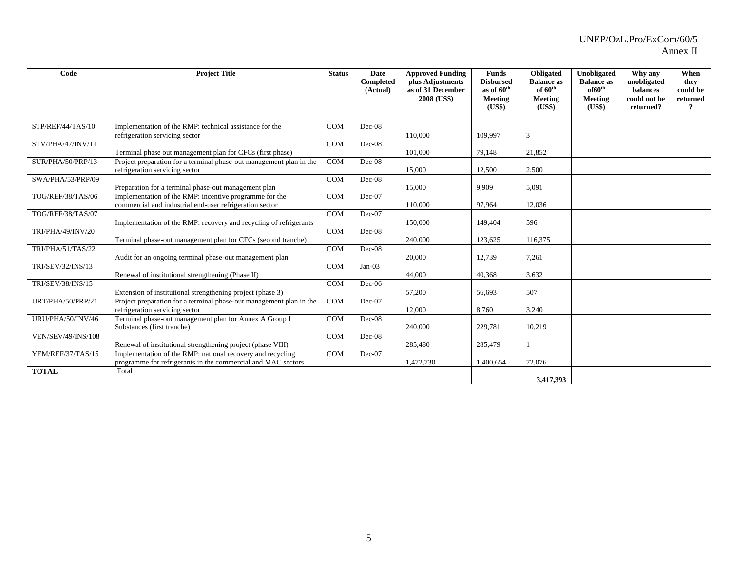| Code                      | <b>Project Title</b>                                                                                                       | <b>Status</b> | <b>Date</b><br>Completed<br>(Actual) | <b>Approved Funding</b><br>plus Adjustments<br>as of 31 December<br>2008 (US\$) | <b>Funds</b><br><b>Disbursed</b><br>as of 60 <sup>th</sup><br>Meeting<br>(US\$) | Obligated<br><b>Balance</b> as<br>of $60^{\text{th}}$<br>Meeting<br>(US\$) | Unobligated<br><b>Balance</b> as<br>of 60 <sup>th</sup><br>Meeting<br>(US\$) | Why any<br>unobligated<br><b>balances</b><br>could not be<br>returned? | When<br>they<br>could be<br>returned<br>$\overline{?}$ |
|---------------------------|----------------------------------------------------------------------------------------------------------------------------|---------------|--------------------------------------|---------------------------------------------------------------------------------|---------------------------------------------------------------------------------|----------------------------------------------------------------------------|------------------------------------------------------------------------------|------------------------------------------------------------------------|--------------------------------------------------------|
| STP/REF/44/TAS/10         | Implementation of the RMP: technical assistance for the<br>refrigeration servicing sector                                  | <b>COM</b>    | $Dec-08$                             | 110,000                                                                         | 109,997                                                                         | 3                                                                          |                                                                              |                                                                        |                                                        |
| STV/PHA/47/INV/11         | Terminal phase out management plan for CFCs (first phase)                                                                  | <b>COM</b>    | $Dec-08$                             | 101,000                                                                         | 79,148                                                                          | 21.852                                                                     |                                                                              |                                                                        |                                                        |
| SUR/PHA/50/PRP/13         | Project preparation for a terminal phase-out management plan in the<br>refrigeration servicing sector                      | <b>COM</b>    | $Dec-08$                             | 15,000                                                                          | 12,500                                                                          | 2,500                                                                      |                                                                              |                                                                        |                                                        |
| SWA/PHA/53/PRP/09         | Preparation for a terminal phase-out management plan                                                                       | COM           | $Dec-08$                             | 15,000                                                                          | 9,909                                                                           | 5,091                                                                      |                                                                              |                                                                        |                                                        |
| TOG/REF/38/TAS/06         | Implementation of the RMP: incentive programme for the<br>commercial and industrial end-user refrigeration sector          | <b>COM</b>    | Dec-07                               | 110,000                                                                         | 97,964                                                                          | 12,036                                                                     |                                                                              |                                                                        |                                                        |
| TOG/REF/38/TAS/07         | Implementation of the RMP: recovery and recycling of refrigerants                                                          | <b>COM</b>    | $Dec-07$                             | 150,000                                                                         | 149,404                                                                         | 596                                                                        |                                                                              |                                                                        |                                                        |
| TRI/PHA/49/INV/20         | Terminal phase-out management plan for CFCs (second tranche)                                                               | <b>COM</b>    | $Dec-08$                             | 240,000                                                                         | 123,625                                                                         | 116,375                                                                    |                                                                              |                                                                        |                                                        |
| TRI/PHA/51/TAS/22         | Audit for an ongoing terminal phase-out management plan                                                                    | <b>COM</b>    | $Dec-08$                             | 20,000                                                                          | 12,739                                                                          | 7,261                                                                      |                                                                              |                                                                        |                                                        |
| TRI/SEV/32/INS/13         | Renewal of institutional strengthening (Phase II)                                                                          | <b>COM</b>    | $Jan-03$                             | 44,000                                                                          | 40,368                                                                          | 3,632                                                                      |                                                                              |                                                                        |                                                        |
| TRI/SEV/38/INS/15         | Extension of institutional strengthening project (phase 3)                                                                 | <b>COM</b>    | $Dec-06$                             | 57,200                                                                          | 56,693                                                                          | 507                                                                        |                                                                              |                                                                        |                                                        |
| URT/PHA/50/PRP/21         | Project preparation for a terminal phase-out management plan in the<br>refrigeration servicing sector                      | <b>COM</b>    | $Dec-07$                             | 12,000                                                                          | 8,760                                                                           | 3,240                                                                      |                                                                              |                                                                        |                                                        |
| URU/PHA/50/INV/46         | Terminal phase-out management plan for Annex A Group I<br>Substances (first tranche)                                       | <b>COM</b>    | $Dec-08$                             | 240,000                                                                         | 229,781                                                                         | 10,219                                                                     |                                                                              |                                                                        |                                                        |
| <b>VEN/SEV/49/INS/108</b> | Renewal of institutional strengthening project (phase VIII)                                                                | <b>COM</b>    | $Dec-08$                             | 285,480                                                                         | 285,479                                                                         |                                                                            |                                                                              |                                                                        |                                                        |
| YEM/REF/37/TAS/15         | Implementation of the RMP: national recovery and recycling<br>programme for refrigerants in the commercial and MAC sectors | COM           | Dec-07                               | 1,472,730                                                                       | 1,400,654                                                                       | 72.076                                                                     |                                                                              |                                                                        |                                                        |
| <b>TOTAL</b>              | Total                                                                                                                      |               |                                      |                                                                                 |                                                                                 | 3,417,393                                                                  |                                                                              |                                                                        |                                                        |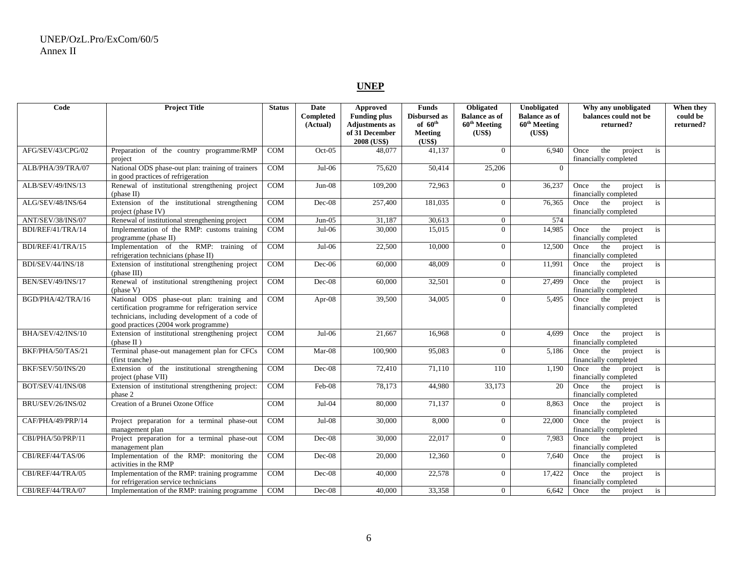# **UNEP**

| Code                     | <b>Project Title</b>                                                                                                                                                                      | <b>Status</b>    | Date<br>Completed<br>(Actual) | <b>Approved</b><br><b>Funding plus</b><br><b>Adjustments</b> as<br>of 31 December<br>2008 (US\$) | <b>Funds</b><br><b>Disbursed as</b><br>of $60^{\text{th}}$<br>Meeting<br>(US\$) | Obligated<br><b>Balance as of</b><br>60 <sup>th</sup> Meeting<br>(US\$) | Unobligated<br><b>Balance as of</b><br>$60th$ Meeting<br>(US\$) | Why any unobligated<br>balances could not be<br>returned? | When they<br>could be<br>returned? |
|--------------------------|-------------------------------------------------------------------------------------------------------------------------------------------------------------------------------------------|------------------|-------------------------------|--------------------------------------------------------------------------------------------------|---------------------------------------------------------------------------------|-------------------------------------------------------------------------|-----------------------------------------------------------------|-----------------------------------------------------------|------------------------------------|
| AFG/SEV/43/CPG/02        | Preparation of the country programme/RMP<br>project                                                                                                                                       | <b>COM</b>       | $Oct-05$                      | 48,077                                                                                           | 41,137                                                                          | $\overline{0}$                                                          | 6,940                                                           | the<br>Once<br>project<br>is<br>financially completed     |                                    |
| ALB/PHA/39/TRA/07        | National ODS phase-out plan: training of trainers<br>in good practices of refrigeration                                                                                                   | <b>COM</b>       | $Jul-06$                      | 75,620                                                                                           | 50,414                                                                          | 25,206                                                                  | $\Omega$                                                        |                                                           |                                    |
| ALB/SEV/49/INS/13        | Renewal of institutional strengthening project<br>(phase II)                                                                                                                              | COM              | $Jun-08$                      | 109,200                                                                                          | 72,963                                                                          | $\overline{0}$                                                          | 36,237                                                          | Once<br>the<br>project<br>is<br>financially completed     |                                    |
| ALG/SEV/48/INS/64        | Extension of the institutional strengthening<br>project (phase IV)                                                                                                                        | COM              | Dec-08                        | 257,400                                                                                          | 181,035                                                                         | $\overline{0}$                                                          | 76,365                                                          | the<br>project<br>is<br>Once<br>financially completed     |                                    |
| ANT/SEV/38/INS/07        | Renewal of institutional strengthening project                                                                                                                                            | $\overline{COM}$ | $Jun-05$                      | 31,187                                                                                           | 30,613                                                                          | $\overline{0}$                                                          | 574                                                             |                                                           |                                    |
| BDI/REF/41/TRA/14        | Implementation of the RMP: customs training<br>programme (phase II)                                                                                                                       | COM              | $Jul-06$                      | 30,000                                                                                           | 15,015                                                                          | $\overline{0}$                                                          | 14,985                                                          | the<br>project<br>Once<br>is<br>financially completed     |                                    |
| BDI/REF/41/TRA/15        | Implementation of the RMP: training of<br>refrigeration technicians (phase II)                                                                                                            | <b>COM</b>       | $Jul-06$                      | 22,500                                                                                           | 10,000                                                                          | $\Omega$                                                                | 12,500                                                          | Once<br>the<br>project<br>is<br>financially completed     |                                    |
| BDI/SEV/44/INS/18        | Extension of institutional strengthening project<br>(phase III)                                                                                                                           | <b>COM</b>       | Dec-06                        | 60,000                                                                                           | 48,009                                                                          | $\overline{0}$                                                          | 11,991                                                          | Once<br>the<br>project<br>is<br>financially completed     |                                    |
| BEN/SEV/49/INS/17        | Renewal of institutional strengthening project<br>(phase V)                                                                                                                               | <b>COM</b>       | Dec-08                        | 60,000                                                                                           | 32,501                                                                          | $\overline{0}$                                                          | 27,499                                                          | the<br>Once<br>project<br>is<br>financially completed     |                                    |
| BGD/PHA/42/TRA/16        | National ODS phase-out plan: training and<br>certification programme for refrigeration service<br>technicians, including development of a code of<br>good practices (2004 work programme) | COM              | Apr- $08$                     | 39.500                                                                                           | 34,005                                                                          | $\overline{0}$                                                          | 5,495                                                           | Once<br>the<br>project<br>is<br>financially completed     |                                    |
| BHA/SEV/42/INS/10        | Extension of institutional strengthening project<br>(phase II)                                                                                                                            | COM              | $Jul-06$                      | 21.667                                                                                           | 16,968                                                                          | $\Omega$                                                                | 4.699                                                           | Once<br>the<br>project<br>is<br>financially completed     |                                    |
| BKF/PHA/50/TAS/21        | Terminal phase-out management plan for CFCs<br>(first tranche)                                                                                                                            | <b>COM</b>       | Mar-08                        | 100,900                                                                                          | 95,083                                                                          | $\overline{0}$                                                          | 5,186                                                           | the<br>Once<br>project<br>is<br>financially completed     |                                    |
| BKF/SEV/50/INS/20        | Extension of the institutional strengthening<br>project (phase VII)                                                                                                                       | <b>COM</b>       | Dec-08                        | 72,410                                                                                           | 71,110                                                                          | 110                                                                     | 1,190                                                           | the<br>project<br>Once<br>is<br>financially completed     |                                    |
| BOT/SEV/41/INS/08        | Extension of institutional strengthening project:<br>phase 2                                                                                                                              | <b>COM</b>       | Feb-08                        | 78,173                                                                                           | 44,980                                                                          | 33,173                                                                  | 20                                                              | the<br>is<br>Once<br>project<br>financially completed     |                                    |
| <b>BRU/SEV/26/INS/02</b> | Creation of a Brunei Ozone Office                                                                                                                                                         | <b>COM</b>       | Jul-04                        | 80,000                                                                                           | 71,137                                                                          | $\overline{0}$                                                          | 8,863                                                           | the<br>project<br>is<br>Once<br>financially completed     |                                    |
| CAF/PHA/49/PRP/14        | Project preparation for a terminal phase-out<br>management plan                                                                                                                           | <b>COM</b>       | $Jul-08$                      | 30,000                                                                                           | 8,000                                                                           | $\Omega$                                                                | 22,000                                                          | the<br>project<br>Once<br>is<br>financially completed     |                                    |
| CBI/PHA/50/PRP/11        | Project preparation for a terminal phase-out<br>management plan                                                                                                                           | COM              | Dec-08                        | 30,000                                                                                           | 22,017                                                                          | $\overline{0}$                                                          | 7,983                                                           | Once<br>the<br>is<br>project<br>financially completed     |                                    |
| CBI/REF/44/TAS/06        | Implementation of the RMP: monitoring the<br>activities in the RMP                                                                                                                        | <b>COM</b>       | $Dec-08$                      | 20,000                                                                                           | 12,360                                                                          | $\overline{0}$                                                          | 7.640                                                           | the<br>project<br>is<br>Once<br>financially completed     |                                    |
| CBI/REF/44/TRA/05        | Implementation of the RMP: training programme<br>for refrigeration service technicians                                                                                                    | <b>COM</b>       | $Dec-08$                      | 40,000                                                                                           | 22,578                                                                          | $\overline{0}$                                                          | 17,422                                                          | the<br>Once<br>project<br>is<br>financially completed     |                                    |
| CBI/REF/44/TRA/07        | Implementation of the RMP: training programme                                                                                                                                             | $\overline{COM}$ | Dec-08                        | 40,000                                                                                           | 33,358                                                                          | $\overline{0}$                                                          | 6,642                                                           | Once<br>the<br>is<br>project                              |                                    |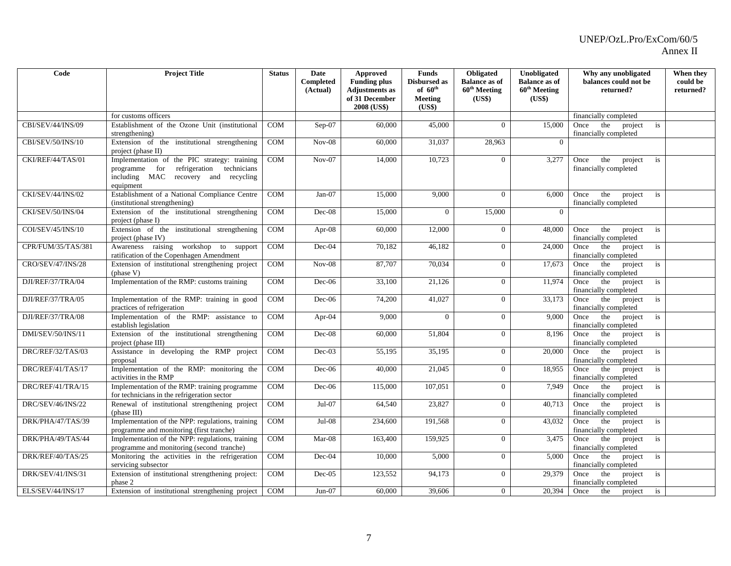| Code               | <b>Project Title</b>                                                                                                                            | <b>Status</b> | Date                  | Approved                                     | <b>Funds</b>                        | Obligated                                        | Unobligated                                      | Why any unobligated                                   | When they             |
|--------------------|-------------------------------------------------------------------------------------------------------------------------------------------------|---------------|-----------------------|----------------------------------------------|-------------------------------------|--------------------------------------------------|--------------------------------------------------|-------------------------------------------------------|-----------------------|
|                    |                                                                                                                                                 |               | Completed<br>(Actual) | <b>Funding plus</b><br><b>Adjustments</b> as | Disbursed as<br>of $60^{\text{th}}$ | <b>Balance as of</b><br>60 <sup>th</sup> Meeting | <b>Balance as of</b><br>60 <sup>th</sup> Meeting | balances could not be<br>returned?                    | could be<br>returned? |
|                    |                                                                                                                                                 |               |                       | of 31 December                               | <b>Meeting</b>                      | (US\$)                                           | (US\$)                                           |                                                       |                       |
|                    |                                                                                                                                                 |               |                       | 2008 (US\$)                                  | (US\$)                              |                                                  |                                                  |                                                       |                       |
|                    | for customs officers                                                                                                                            |               |                       |                                              |                                     |                                                  |                                                  | financially completed                                 |                       |
| CBI/SEV/44/INS/09  | Establishment of the Ozone Unit (institutional<br>strengthening)                                                                                | <b>COM</b>    | $Sep-07$              | 60,000                                       | 45,000                              | $\theta$                                         | 15,000                                           | the<br>project<br>Once<br>is<br>financially completed |                       |
| CBI/SEV/50/INS/10  | Extension of the institutional strengthening<br>project (phase II)                                                                              | <b>COM</b>    | $Nov-08$              | 60,000                                       | 31,037                              | 28,963                                           | $\Omega$                                         |                                                       |                       |
| CKI/REF/44/TAS/01  | Implementation of the PIC strategy: training<br>programme for<br>refrigeration technicians<br>including MAC recovery and recycling<br>equipment | <b>COM</b>    | $Nov-07$              | 14,000                                       | 10,723                              | $\overline{0}$                                   | 3,277                                            | the<br>Once<br>project<br>is<br>financially completed |                       |
| CKI/SEV/44/INS/02  | Establishment of a National Compliance Centre<br>(institutional strengthening)                                                                  | COM           | $Jan-07$              | 15,000                                       | 9,000                               | $\Omega$                                         | 6,000                                            | the<br>Once<br>project<br>is<br>financially completed |                       |
| CKI/SEV/50/INS/04  | Extension of the institutional strengthening<br>project (phase I)                                                                               | <b>COM</b>    | $Dec-08$              | 15,000                                       | $\overline{0}$                      | 15,000                                           | $\Omega$                                         |                                                       |                       |
| COI/SEV/45/INS/10  | Extension of the institutional strengthening<br>project (phase IV)                                                                              | COM           | Apr- $08$             | 60,000                                       | 12,000                              | $\overline{0}$                                   | 48,000                                           | the<br>Once<br>project<br>is<br>financially completed |                       |
| CPR/FUM/35/TAS/381 | Awareness raising workshop to support<br>ratification of the Copenhagen Amendment                                                               | COM           | Dec-04                | 70,182                                       | 46,182                              | $\Omega$                                         | 24,000                                           | Once<br>the<br>project<br>is<br>financially completed |                       |
| CRO/SEV/47/INS/28  | Extension of institutional strengthening project<br>(phase V)                                                                                   | <b>COM</b>    | $Nov-08$              | 87,707                                       | 70,034                              | $\overline{0}$                                   | 17,673                                           | the<br>Once<br>project<br>is<br>financially completed |                       |
| DJI/REF/37/TRA/04  | Implementation of the RMP: customs training                                                                                                     | COM           | $Dec-06$              | 33,100                                       | 21,126                              | $\Omega$                                         | 11.974                                           | the<br>Once<br>project<br>is<br>financially completed |                       |
| DJI/REF/37/TRA/05  | Implementation of the RMP: training in good<br>practices of refrigeration                                                                       | <b>COM</b>    | $Dec-06$              | 74,200                                       | 41,027                              | $\overline{0}$                                   | 33,173                                           | the<br>Once<br>project<br>is<br>financially completed |                       |
| DJI/REF/37/TRA/08  | Implementation of the RMP: assistance to<br>establish legislation                                                                               | <b>COM</b>    | Apr-04                | 9,000                                        | $\Omega$                            | $\overline{0}$                                   | 9,000                                            | Once<br>the<br>project<br>is<br>financially completed |                       |
| DMI/SEV/50/INS/11  | Extension of the institutional strengthening<br>project (phase III)                                                                             | <b>COM</b>    | Dec-08                | 60,000                                       | 51,804                              | $\Omega$                                         | 8,196                                            | the<br>project<br>Once<br>is<br>financially completed |                       |
| DRC/REF/32/TAS/03  | Assistance in developing the RMP project<br>proposal                                                                                            | COM           | $Dec-03$              | 55,195                                       | 35,195                              | $\overline{0}$                                   | 20,000                                           | the<br>project<br>Once<br>is<br>financially completed |                       |
| DRC/REF/41/TAS/17  | Implementation of the RMP: monitoring the<br>activities in the RMP                                                                              | <b>COM</b>    | $Dec-06$              | 40,000                                       | 21,045                              | $\overline{0}$                                   | 18,955                                           | the<br>Once<br>project<br>is<br>financially completed |                       |
| DRC/REF/41/TRA/15  | Implementation of the RMP: training programme<br>for technicians in the refrigeration sector                                                    | COM           | $Dec-06$              | 115,000                                      | 107,051                             | $\Omega$                                         | 7.949                                            | the<br>project<br>Once<br>is<br>financially completed |                       |
| DRC/SEV/46/INS/22  | Renewal of institutional strengthening project<br>(phase III)                                                                                   | COM           | Jul-07                | 64,540                                       | 23,827                              | $\overline{0}$                                   | 40,713                                           | the<br>project<br>Once<br>is<br>financially completed |                       |
| DRK/PHA/47/TAS/39  | Implementation of the NPP: regulations, training<br>programme and monitoring (first tranche)                                                    | COM           | $Jul-08$              | 234,600                                      | 191,568                             | $\mathbf{0}$                                     | 43,032                                           | the<br>project<br>Once<br>is<br>financially completed |                       |
| DRK/PHA/49/TAS/44  | Implementation of the NPP: regulations, training<br>programme and monitoring (second tranche)                                                   | <b>COM</b>    | $Mar-08$              | 163,400                                      | 159,925                             | $\Omega$                                         | 3,475                                            | the<br>project<br>Once<br>is<br>financially completed |                       |
| DRK/REF/40/TAS/25  | Monitoring the activities in the refrigeration<br>servicing subsector                                                                           | COM           | Dec-04                | 10,000                                       | 5,000                               | $\overline{0}$                                   | 5,000                                            | the<br>Once<br>project<br>is<br>financially completed |                       |
| DRK/SEV/41/INS/31  | Extension of institutional strengthening project:<br>phase 2                                                                                    | COM           | $Dec-05$              | 123,552                                      | 94,173                              | $\overline{0}$                                   | 29,379                                           | the<br>project<br>is<br>Once<br>financially completed |                       |
| ELS/SEV/44/INS/17  | Extension of institutional strengthening project                                                                                                | <b>COM</b>    | $Jun-07$              | 60,000                                       | 39,606                              | $\Omega$                                         | 20,394                                           | Once<br>the<br>is<br>project                          |                       |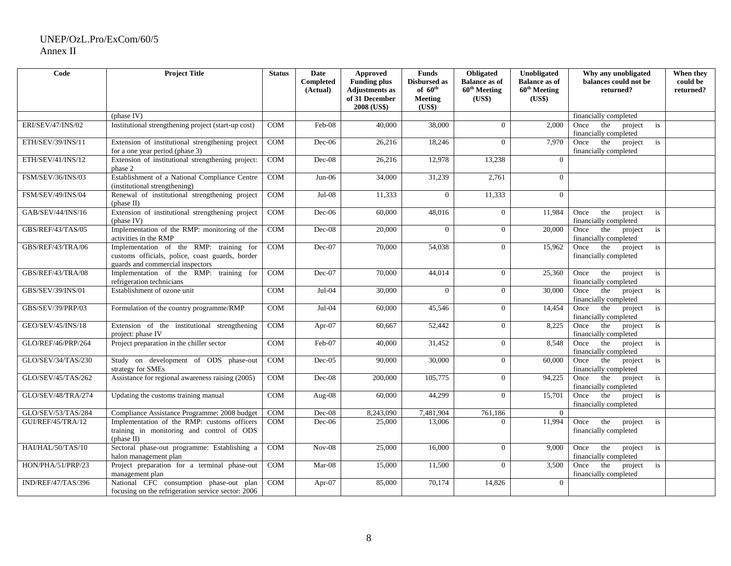| Code               | <b>Project Title</b>                                                                                                           | <b>Status</b> | <b>Date</b><br>Completed<br>(Actual) | <b>Approved</b><br><b>Funding plus</b><br><b>Adjustments</b> as | <b>Funds</b><br>Disbursed as<br>of $60^{\text{th}}$ | Obligated<br><b>Balance as of</b><br>$60^{\text{th}}$ Meeting | Unobligated<br><b>Balance as of</b><br>$60^{\text{th}}$ Meeting | Why any unobligated<br>balances could not be<br>returned?         | When they<br>could be<br>returned? |
|--------------------|--------------------------------------------------------------------------------------------------------------------------------|---------------|--------------------------------------|-----------------------------------------------------------------|-----------------------------------------------------|---------------------------------------------------------------|-----------------------------------------------------------------|-------------------------------------------------------------------|------------------------------------|
|                    |                                                                                                                                |               |                                      | of 31 December<br>2008 (US\$)                                   | <b>Meeting</b><br>(US\$)                            | (US\$)                                                        | (US\$)                                                          |                                                                   |                                    |
|                    | (phase IV)                                                                                                                     |               |                                      |                                                                 |                                                     |                                                               |                                                                 | financially completed                                             |                                    |
| ERI/SEV/47/INS/02  | Institutional strengthening project (start-up cost)                                                                            | <b>COM</b>    | Feb-08                               | 40,000                                                          | 38,000                                              | $\Omega$                                                      | 2.000                                                           | the<br>Once<br>project<br>is<br>financially completed             |                                    |
| ETH/SEV/39/INS/11  | Extension of institutional strengthening project<br>for a one year period (phase 3)                                            | <b>COM</b>    | Dec-06                               | 26,216                                                          | 18,246                                              | $\Omega$                                                      | 7,970                                                           | the<br>Once<br>project<br>is<br>financially completed             |                                    |
| ETH/SEV/41/INS/12  | Extension of institutional strengthening project:<br>phase 2                                                                   | COM           | Dec-08                               | 26,216                                                          | 12,978                                              | 13,238                                                        | $\overline{0}$                                                  |                                                                   |                                    |
| FSM/SEV/36/INS/03  | Establishment of a National Compliance Centre<br>(institutional strengthening)                                                 | <b>COM</b>    | $Jun-06$                             | 34,000                                                          | 31,239                                              | 2,761                                                         | $\Omega$                                                        |                                                                   |                                    |
| FSM/SEV/49/INS/04  | Renewal of institutional strengthening project<br>(phase II)                                                                   | COM           | $Jul-08$                             | 11,333                                                          | $\overline{0}$                                      | 11,333                                                        | $\mathbf{0}$                                                    |                                                                   |                                    |
| GAB/SEV/44/INS/16  | Extension of institutional strengthening project<br>(phase IV)                                                                 | <b>COM</b>    | $Dec-06$                             | 60,000                                                          | 48,016                                              | $\overline{0}$                                                | 11,984                                                          | the<br>project<br>Once<br>is<br>financially completed             |                                    |
| GBS/REF/43/TAS/05  | Implementation of the RMP: monitoring of the<br>activities in the RMP                                                          | COM           | Dec-08                               | 20,000                                                          | $\overline{0}$                                      | $\overline{0}$                                                | 20,000                                                          | the<br>project<br>is<br>Once<br>financially completed             |                                    |
| GBS/REF/43/TRA/06  | Implementation of the RMP: training for<br>customs officials, police, coast guards, border<br>guards and commercial inspectors | COM           | Dec-07                               | 70,000                                                          | 54,038                                              | $\overline{0}$                                                | 15,962                                                          | the<br>project<br>Once<br>is<br>financially completed             |                                    |
| GBS/REF/43/TRA/08  | Implementation of the RMP: training for<br>refrigeration technicians                                                           | <b>COM</b>    | $Dec-07$                             | 70,000                                                          | 44,014                                              | $\overline{0}$                                                | 25,360                                                          | Once<br>the<br>project<br>is<br>financially completed             |                                    |
| GBS/SEV/39/INS/01  | Establishment of ozone unit                                                                                                    | <b>COM</b>    | $Jul-04$                             | 30,000                                                          | $\overline{0}$                                      | $\overline{0}$                                                | 30,000                                                          | Once<br>the<br>project<br>is<br>financially completed             |                                    |
| GBS/SEV/39/PRP/03  | Formulation of the country programme/RMP                                                                                       | <b>COM</b>    | $Jul-04$                             | 60,000                                                          | 45,546                                              | $\overline{0}$                                                | 14,454                                                          | the<br>Once<br>project<br>is<br>financially completed             |                                    |
| GEO/SEV/45/INS/18  | Extension of the institutional strengthening<br>project: phase IV                                                              | COM           | Apr-07                               | 60,667                                                          | 52,442                                              | $\overline{0}$                                                | 8,225                                                           | the<br>project<br>Once<br>is<br>financially completed             |                                    |
| GLO/REF/46/PRP/264 | Project preparation in the chiller sector                                                                                      | COM           | Feb-07                               | 40,000                                                          | 31,452                                              | $\overline{0}$                                                | 8,548                                                           | the<br>project<br>$\mathbf{i}$ s<br>Once<br>financially completed |                                    |
| GLO/SEV/34/TAS/230 | Study on development of ODS phase-out<br>strategy for SMEs                                                                     | <b>COM</b>    | $Dec-05$                             | 90,000                                                          | 30,000                                              | $\overline{0}$                                                | 60,000                                                          | the<br>project<br>Once<br>is<br>financially completed             |                                    |
| GLO/SEV/45/TAS/262 | Assistance for regional awareness raising (2005)                                                                               | <b>COM</b>    | Dec-08                               | 200,000                                                         | 105,775                                             | $\overline{0}$                                                | 94,225                                                          | the<br>Once<br>project<br>is<br>financially completed             |                                    |
| GLO/SEV/48/TRA/274 | Updating the customs training manual                                                                                           | <b>COM</b>    | Aug-08                               | 60,000                                                          | 44,299                                              | $\Omega$                                                      | 15,701                                                          | the<br>project<br>Once<br>is<br>financially completed             |                                    |
| GLO/SEV/53/TAS/284 | Compliance Assistance Programme: 2008 budget                                                                                   | COM           | $Dec-08$                             | 8,243,090                                                       | 7,481,904                                           | 761,186                                                       | $\theta$                                                        |                                                                   |                                    |
| GUI/REF/45/TRA/12  | Implementation of the RMP: customs officers<br>training in monitoring and control of ODS<br>(phase II)                         | <b>COM</b>    | $Dec-06$                             | 25,000                                                          | 13,006                                              | $\Omega$                                                      | 11,994                                                          | Once<br>the<br>project<br>is<br>financially completed             |                                    |
| HAI/HAL/50/TAS/10  | Sectoral phase-out programme: Establishing a<br>halon management plan                                                          | <b>COM</b>    | $Nov-08$                             | 25,000                                                          | 16,000                                              | $\Omega$                                                      | 9,000                                                           | Once<br>the<br>project<br>is<br>financially completed             |                                    |
| HON/PHA/51/PRP/23  | Project preparation for a terminal phase-out<br>management plan                                                                | COM           | $Mar-08$                             | 15,000                                                          | 11,500                                              | $\Omega$                                                      | 3,500                                                           | the<br>project<br>Once<br>is<br>financially completed             |                                    |
| IND/REF/47/TAS/396 | National CFC consumption phase-out plan<br>focusing on the refrigeration service sector: 2006                                  | COM           | $Apr-07$                             | 85,000                                                          | 70,174                                              | 14,826                                                        | $\overline{0}$                                                  |                                                                   |                                    |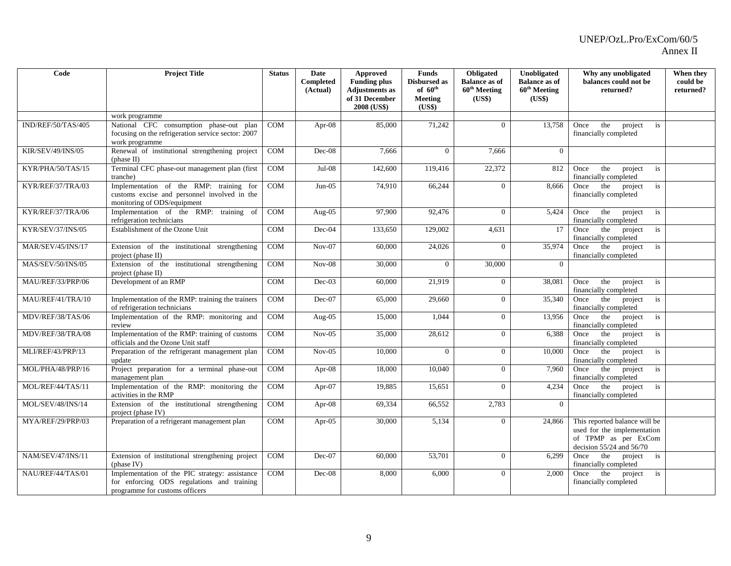| Code                     | <b>Project Title</b>                                                                                                           | <b>Status</b> | Date<br>Completed | <b>Approved</b><br><b>Funding plus</b>                 | <b>Funds</b><br><b>Disbursed as</b> | Obligated<br><b>Balance as of</b>  | Unobligated<br><b>Balance as of</b> | Why any unobligated<br>balances could not be                                                                         | When they<br>could be |
|--------------------------|--------------------------------------------------------------------------------------------------------------------------------|---------------|-------------------|--------------------------------------------------------|-------------------------------------|------------------------------------|-------------------------------------|----------------------------------------------------------------------------------------------------------------------|-----------------------|
|                          |                                                                                                                                |               | (Actual)          | <b>Adjustments</b> as<br>of 31 December<br>2008 (US\$) | of $60th$<br>Meeting<br>(US\$)      | 60 <sup>th</sup> Meeting<br>(US\$) | 60 <sup>th</sup> Meeting<br>(US\$)  | returned?                                                                                                            | returned?             |
|                          | work programme                                                                                                                 |               |                   |                                                        |                                     |                                    |                                     |                                                                                                                      |                       |
| IND/REF/50/TAS/405       | National CFC consumption phase-out plan<br>focusing on the refrigeration service sector: 2007<br>work programme                | <b>COM</b>    | Apr- $08$         | 85,000                                                 | 71,242                              | $\Omega$                           | 13.758                              | the<br>Once<br>project<br>is<br>financially completed                                                                |                       |
| <b>KIR/SEV/49/INS/05</b> | Renewal of institutional strengthening project<br>(phase II)                                                                   | <b>COM</b>    | $Dec-08$          | 7,666                                                  | $\Omega$                            | 7.666                              | $\Omega$                            |                                                                                                                      |                       |
| KYR/PHA/50/TAS/15        | Terminal CFC phase-out management plan (first<br>tranche)                                                                      | COM           | $Jul-08$          | 142,600                                                | 119,416                             | 22,372                             | 812                                 | Once<br>the<br>project<br>is<br>financially completed                                                                |                       |
| KYR/REF/37/TRA/03        | Implementation of the RMP: training for<br>customs excise and personnel involved in the<br>monitoring of ODS/equipment         | <b>COM</b>    | $Jun-05$          | 74,910                                                 | 66,244                              | $\theta$                           | 8,666                               | Once the project<br>is<br>financially completed                                                                      |                       |
| KYR/REF/37/TRA/06        | Implementation of the RMP: training of<br>refrigeration technicians                                                            | <b>COM</b>    | Aug-05            | 97,900                                                 | 92,476                              | $\Omega$                           | 5,424                               | the<br>project<br>Once<br>is<br>financially completed                                                                |                       |
| KYR/SEV/37/INS/05        | Establishment of the Ozone Unit                                                                                                | <b>COM</b>    | Dec-04            | 133,650                                                | 129,002                             | 4,631                              | 17                                  | the<br>project<br>is<br>Once<br>financially completed                                                                |                       |
| MAR/SEV/45/INS/17        | Extension of the institutional strengthening<br>project (phase II)                                                             | <b>COM</b>    | $Nov-07$          | 60,000                                                 | 24,026                              | $\Omega$                           | 35,974                              | the<br>Once<br>project<br>is<br>financially completed                                                                |                       |
| <b>MAS/SEV/50/INS/05</b> | Extension of the institutional strengthening<br>project (phase $II$ )                                                          | COM           | $Nov-08$          | 30,000                                                 | $\Omega$                            | 30,000                             | $\Omega$                            |                                                                                                                      |                       |
| MAU/REF/33/PRP/06        | Development of an RMP                                                                                                          | COM           | $Dec-03$          | 60,000                                                 | 21,919                              | $\Omega$                           | 38,081                              | Once<br>the<br>project<br>is<br>financially completed                                                                |                       |
| MAU/REF/41/TRA/10        | Implementation of the RMP: training the trainers<br>of refrigeration technicians                                               | <b>COM</b>    | Dec-07            | 65,000                                                 | 29,660                              | $\Omega$                           | 35,340                              | the<br>project<br>is<br>Once<br>financially completed                                                                |                       |
| MDV/REF/38/TAS/06        | Implementation of the RMP: monitoring and<br>review                                                                            | COM           | Aug-05            | 15,000                                                 | 1,044                               | $\overline{0}$                     | 13,956                              | Once the<br>project<br>is<br>financially completed                                                                   |                       |
| MDV/REF/38/TRA/08        | Implementation of the RMP: training of customs<br>officials and the Ozone Unit staff                                           | COM           | $Nov-05$          | 35,000                                                 | 28,612                              | $\overline{0}$                     | 6,388                               | Once the<br>project<br>is<br>financially completed                                                                   |                       |
| MLI/REF/43/PRP/13        | Preparation of the refrigerant management plan<br>update                                                                       | <b>COM</b>    | $Nov-05$          | 10.000                                                 | $\Omega$                            | $\Omega$                           | 10.000                              | the<br>project<br>Once<br>is<br>financially completed                                                                |                       |
| MOL/PHA/48/PRP/16        | Project preparation for a terminal phase-out<br>management plan                                                                | COM           | Apr-08            | 18,000                                                 | 10,040                              | $\overline{0}$                     | 7,960                               | the<br>project<br>is<br>Once<br>financially completed                                                                |                       |
| MOL/REF/44/TAS/11        | Implementation of the RMP: monitoring the<br>activities in the RMP                                                             | <b>COM</b>    | Apr- $07$         | 19,885                                                 | 15,651                              | $\Omega$                           | 4,234                               | the<br>project<br>Once<br>is<br>financially completed                                                                |                       |
| MOL/SEV/48/INS/14        | Extension of the institutional strengthening<br>project (phase IV)                                                             | COM           | Apr-08            | 69,334                                                 | 66,552                              | 2,783                              | $\Omega$                            |                                                                                                                      |                       |
| MYA/REF/29/PRP/03        | Preparation of a refrigerant management plan                                                                                   | COM           | Apr- $05$         | 30,000                                                 | 5.134                               | $\Omega$                           | 24,866                              | This reported balance will be<br>used for the implementation<br>of TPMP as per ExCom<br>decision $55/24$ and $56/70$ |                       |
| NAM/SEV/47/INS/11        | Extension of institutional strengthening project<br>(phase IV)                                                                 | <b>COM</b>    | Dec-07            | 60,000                                                 | 53,701                              | $\overline{0}$                     | 6,299                               | the<br>project is<br>Once<br>financially completed                                                                   |                       |
| NAU/REF/44/TAS/01        | Implementation of the PIC strategy: assistance<br>for enforcing ODS regulations and training<br>programme for customs officers | <b>COM</b>    | $Dec-08$          | 8,000                                                  | 6,000                               | $\Omega$                           | 2,000                               | the<br>project<br>Once<br>is<br>financially completed                                                                |                       |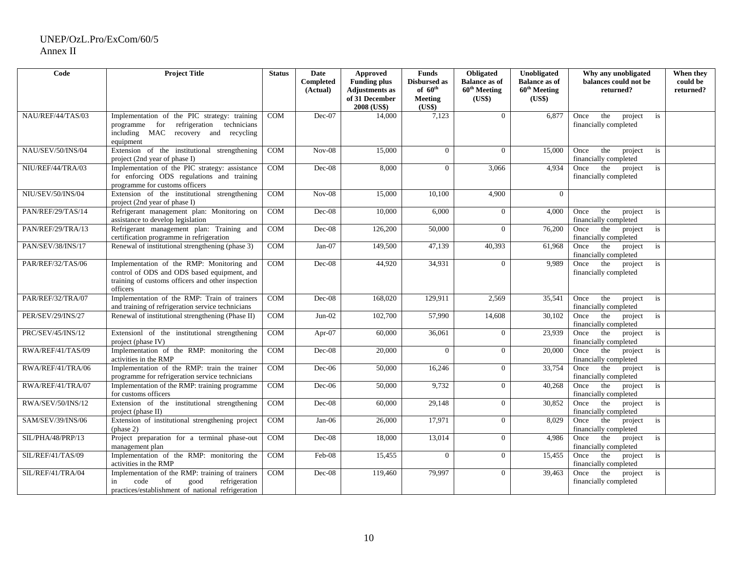| Code              | <b>Project Title</b>                                                        | <b>Status</b> | Date      | Approved                      | <b>Funds</b>        | Obligated                | Unobligated              | Why any unobligated                                   | When they |
|-------------------|-----------------------------------------------------------------------------|---------------|-----------|-------------------------------|---------------------|--------------------------|--------------------------|-------------------------------------------------------|-----------|
|                   |                                                                             |               | Completed | <b>Funding plus</b>           | <b>Disbursed as</b> | <b>Balance as of</b>     | <b>Balance as of</b>     | balances could not be                                 | could be  |
|                   |                                                                             |               | (Actual)  | <b>Adjustments</b> as         | of $60^{\text{th}}$ | 60 <sup>th</sup> Meeting | 60 <sup>th</sup> Meeting | returned?                                             | returned? |
|                   |                                                                             |               |           | of 31 December<br>2008 (US\$) | Meeting<br>(US\$)   | (US\$)                   | (US\$)                   |                                                       |           |
| NAU/REF/44/TAS/03 | Implementation of the PIC strategy: training                                | COM           | Dec-07    | 14,000                        | 7,123               | $\overline{0}$           | 6,877                    | Once<br>the<br>project<br>is                          |           |
|                   | refrigeration<br>technicians<br>programme for                               |               |           |                               |                     |                          |                          | financially completed                                 |           |
|                   | including MAC recovery and recycling                                        |               |           |                               |                     |                          |                          |                                                       |           |
|                   | equipment                                                                   |               |           |                               |                     |                          |                          |                                                       |           |
| NAU/SEV/50/INS/04 | Extension of the institutional strengthening                                | COM           | $Nov-08$  | 15,000                        | $\overline{0}$      | $\overline{0}$           | 15,000                   | Once<br>the<br>project<br>is                          |           |
|                   | project (2nd year of phase I)                                               |               |           |                               |                     |                          |                          | financially completed                                 |           |
| NIU/REF/44/TRA/03 | Implementation of the PIC strategy: assistance                              | <b>COM</b>    | $Dec-08$  | 8,000                         | $\Omega$            | 3.066                    | 4.934                    | Once the<br>project<br>is                             |           |
|                   | for enforcing ODS regulations and training                                  |               |           |                               |                     |                          |                          | financially completed                                 |           |
|                   | programme for customs officers                                              |               |           |                               |                     |                          |                          |                                                       |           |
| NIU/SEV/50/INS/04 | Extension of the institutional strengthening                                | COM           | $Nov-08$  | 15,000                        | 10,100              | 4,900                    | $\theta$                 |                                                       |           |
| PAN/REF/29/TAS/14 | project (2nd year of phase I)<br>Refrigerant management plan: Monitoring on | COM           | Dec-08    | 10,000                        |                     | $\overline{0}$           | 4,000                    |                                                       |           |
|                   | assistance to develop legislation                                           |               |           |                               | 6,000               |                          |                          | the<br>project<br>Once<br>is<br>financially completed |           |
| PAN/REF/29/TRA/13 | Refrigerant management plan: Training and                                   | COM           | $Dec-08$  | 126,200                       | 50,000              | $\Omega$                 | 76,200                   | the<br>Once<br>project<br>is                          |           |
|                   | certification programme in refrigeration                                    |               |           |                               |                     |                          |                          | financially completed                                 |           |
| PAN/SEV/38/INS/17 | Renewal of institutional strengthening (phase 3)                            | <b>COM</b>    | $Jan-07$  | 149,500                       | 47,139              | 40,393                   | 61,968                   | the<br>project<br>Once<br>is                          |           |
|                   |                                                                             |               |           |                               |                     |                          |                          | financially completed                                 |           |
| PAR/REF/32/TAS/06 | Implementation of the RMP: Monitoring and                                   | COM           | $Dec-08$  | 44,920                        | 34,931              | $\Omega$                 | 9,989                    | Once the<br>project<br>is                             |           |
|                   | control of ODS and ODS based equipment, and                                 |               |           |                               |                     |                          |                          | financially completed                                 |           |
|                   | training of customs officers and other inspection                           |               |           |                               |                     |                          |                          |                                                       |           |
|                   | officers                                                                    |               |           |                               |                     |                          |                          |                                                       |           |
| PAR/REF/32/TRA/07 | Implementation of the RMP: Train of trainers                                | COM           | Dec-08    | 168,020                       | 129,911             | 2,569                    | 35,541                   | the<br>Once<br>project<br>is                          |           |
|                   | and training of refrigeration service technicians                           |               |           |                               |                     |                          |                          | financially completed                                 |           |
| PER/SEV/29/INS/27 | Renewal of institutional strengthening (Phase II)                           | COM           | $Jun-02$  | 102,700                       | 57,990              | 14,608                   | 30,102                   | the<br>Once<br>project<br>is                          |           |
| PRC/SEV/45/INS/12 | Extensionl of the institutional strengthening                               | COM           | Apr-07    | 60,000                        | 36,061              | $\overline{0}$           | 23,939                   | financially completed<br>Once the<br>project<br>is    |           |
|                   | project (phase IV)                                                          |               |           |                               |                     |                          |                          | financially completed                                 |           |
| RWA/REF/41/TAS/09 | Implementation of the RMP: monitoring the                                   | COM           | $Dec-08$  | 20,000                        | $\Omega$            | $\overline{0}$           | 20,000                   | Once the<br>project<br>is                             |           |
|                   | activities in the RMP                                                       |               |           |                               |                     |                          |                          | financially completed                                 |           |
| RWA/REF/41/TRA/06 | Implementation of the RMP: train the trainer                                | COM           | $Dec-06$  | 50,000                        | 16,246              | $\theta$                 | 33,754                   | project<br>Once the<br>is                             |           |
|                   | programme for refrigeration service technicians                             |               |           |                               |                     |                          |                          | financially completed                                 |           |
| RWA/REF/41/TRA/07 | Implementation of the RMP: training programme                               | COM           | $Dec-06$  | 50,000                        | 9,732               | $\overline{0}$           | 40,268                   | the<br>Once<br>project<br>is                          |           |
|                   | for customs officers                                                        |               |           |                               |                     |                          |                          | financially completed                                 |           |
| RWA/SEV/50/INS/12 | Extension of the institutional strengthening                                | <b>COM</b>    | $Dec-08$  | 60,000                        | 29,148              | $\overline{0}$           | 30,852                   | the<br>project<br>Once<br>is                          |           |
|                   | project (phase II)                                                          |               |           |                               |                     |                          |                          | financially completed                                 |           |
| SAM/SEV/39/INS/06 | Extension of institutional strengthening project<br>(phase 2)               | COM           | $Jan-06$  | 26,000                        | 17,971              | $\overline{0}$           | 8,029                    | the<br>project<br>Once<br>is<br>financially completed |           |
| SIL/PHA/48/PRP/13 | Project preparation for a terminal phase-out                                | <b>COM</b>    | $Dec-08$  | 18,000                        | 13,014              | $\overline{0}$           | 4.986                    | the<br>project<br>Once<br>is                          |           |
|                   | management plan                                                             |               |           |                               |                     |                          |                          | financially completed                                 |           |
| SIL/REF/41/TAS/09 | Implementation of the RMP: monitoring the                                   | COM           | Feb-08    | 15,455                        | $\overline{0}$      | $\overline{0}$           | 15,455                   | the<br>project<br>Once<br>is                          |           |
|                   | activities in the RMP                                                       |               |           |                               |                     |                          |                          | financially completed                                 |           |
| SIL/REF/41/TRA/04 | Implementation of the RMP: training of trainers                             | COM           | $Dec-08$  | 119,460                       | 79,997              | $\Omega$                 | 39,463                   | the<br>project<br>Once<br>is                          |           |
|                   | code<br>of<br>good<br>refrigeration<br>in                                   |               |           |                               |                     |                          |                          | financially completed                                 |           |
|                   | practices/establishment of national refrigeration                           |               |           |                               |                     |                          |                          |                                                       |           |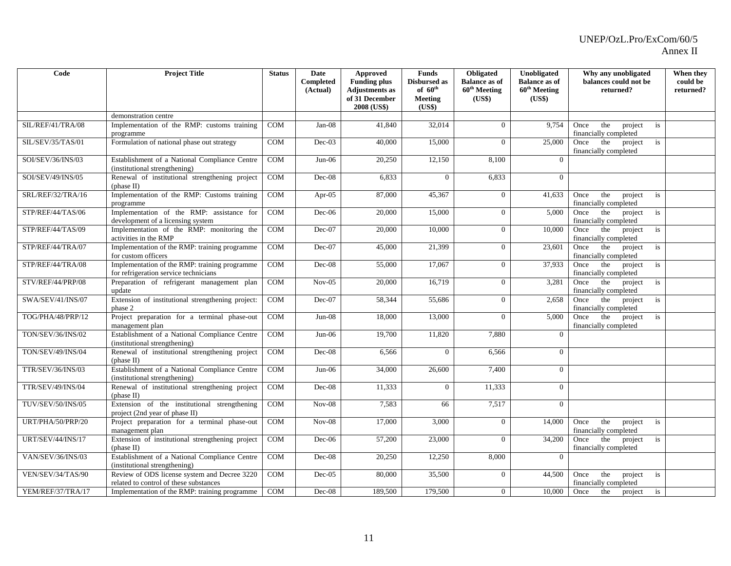| Code                     | <b>Project Title</b>                                                                   | <b>Status</b> | <b>Date</b><br>Completed | <b>Approved</b><br><b>Funding plus</b>          | <b>Funds</b><br>Disbursed as                    | Obligated<br><b>Balance as of</b>  | Unobligated<br><b>Balance as of</b> | Why any unobligated<br>balances could not be          | When they<br>could be |
|--------------------------|----------------------------------------------------------------------------------------|---------------|--------------------------|-------------------------------------------------|-------------------------------------------------|------------------------------------|-------------------------------------|-------------------------------------------------------|-----------------------|
|                          |                                                                                        |               | (Actual)                 | Adjustments as<br>of 31 December<br>2008 (US\$) | of $60^{\text{th}}$<br><b>Meeting</b><br>(US\$) | 60 <sup>th</sup> Meeting<br>(US\$) | $60^{\text{th}}$ Meeting<br>(US\$)  | returned?                                             | returned?             |
|                          | demonstration centre                                                                   |               |                          |                                                 |                                                 |                                    |                                     |                                                       |                       |
| SIL/REF/41/TRA/08        | Implementation of the RMP: customs training<br>programme                               | <b>COM</b>    | $Jan-08$                 | 41.840                                          | 32,014                                          | $\overline{0}$                     | 9.754                               | Once<br>the<br>project<br>is<br>financially completed |                       |
| SIL/SEV/35/TAS/01        | Formulation of national phase out strategy                                             | COM           | $Dec-03$                 | 40,000                                          | 15,000                                          | $\overline{0}$                     | 25,000                              | the<br>project<br>Once<br>is<br>financially completed |                       |
| SOI/SEV/36/INS/03        | Establishment of a National Compliance Centre<br>(institutional strengthening)         | COM           | $Jun-06$                 | 20,250                                          | 12,150                                          | 8,100                              | $\mathbf{0}$                        |                                                       |                       |
| SOI/SEV/49/INS/05        | Renewal of institutional strengthening project<br>(phase II)                           | <b>COM</b>    | Dec-08                   | 6,833                                           | $\Omega$                                        | 6,833                              | $\Omega$                            |                                                       |                       |
| SRL/REF/32/TRA/16        | Implementation of the RMP: Customs training<br>programme                               | COM           | Apr- $05$                | 87,000                                          | 45,367                                          | $\overline{0}$                     | 41,633                              | the<br>project<br>Once<br>is<br>financially completed |                       |
| STP/REF/44/TAS/06        | Implementation of the RMP: assistance for<br>development of a licensing system         | COM           | $Dec-06$                 | 20,000                                          | 15,000                                          | $\overline{0}$                     | 5,000                               | Once<br>the<br>project<br>is<br>financially completed |                       |
| STP/REF/44/TAS/09        | Implementation of the RMP: monitoring the<br>activities in the RMP                     | <b>COM</b>    | Dec-07                   | 20,000                                          | 10,000                                          | $\overline{0}$                     | 10,000                              | the<br>Once<br>project<br>is<br>financially completed |                       |
| STP/REF/44/TRA/07        | Implementation of the RMP: training programme<br>for custom officers                   | COM           | Dec-07                   | 45,000                                          | 21,399                                          | $\overline{0}$                     | 23,601                              | Once<br>the<br>project<br>is<br>financially completed |                       |
| STP/REF/44/TRA/08        | Implementation of the RMP: training programme<br>for refrigeration service technicians | COM           | $Dec-08$                 | 55,000                                          | 17,067                                          | $\overline{0}$                     | 37,933                              | the<br>project<br>is<br>Once<br>financially completed |                       |
| STV/REF/44/PRP/08        | Preparation of refrigerant management plan<br>update                                   | COM           | $Nov-05$                 | 20,000                                          | 16,719                                          | $\overline{0}$                     | 3,281                               | the<br>project<br>is<br>Once<br>financially completed |                       |
| SWA/SEV/41/INS/07        | Extension of institutional strengthening project:<br>phase 2                           | COM           | $Dec-07$                 | 58,344                                          | 55,686                                          | $\overline{0}$                     | 2.658                               | the<br>project<br>is<br>Once<br>financially completed |                       |
| TOG/PHA/48/PRP/12        | Project preparation for a terminal phase-out<br>management plan                        | <b>COM</b>    | $Jun-08$                 | 18,000                                          | 13,000                                          | $\overline{0}$                     | 5,000                               | Once the<br>project<br>is<br>financially completed    |                       |
| TON/SEV/36/INS/02        | Establishment of a National Compliance Centre<br>(institutional strengthening)         | COM           | $Jun-06$                 | 19,700                                          | 11,820                                          | 7,880                              | $\Omega$                            |                                                       |                       |
| TON/SEV/49/INS/04        | Renewal of institutional strengthening project<br>(phase II)                           | COM           | Dec-08                   | 6,566                                           | $\Omega$                                        | 6,566                              | $\overline{0}$                      |                                                       |                       |
| TTR/SEV/36/INS/03        | Establishment of a National Compliance Centre<br>(institutional strengthening)         | COM           | $Jun-06$                 | 34,000                                          | 26,600                                          | 7,400                              | $\overline{0}$                      |                                                       |                       |
| <b>TTR/SEV/49/INS/04</b> | Renewal of institutional strengthening project<br>(phase II)                           | <b>COM</b>    | $Dec-08$                 | 11,333                                          | $\Omega$                                        | 11,333                             | $\Omega$                            |                                                       |                       |
| TUV/SEV/50/INS/05        | Extension of the institutional strengthening<br>project (2nd year of phase II)         | COM           | $Nov-08$                 | 7,583                                           | 66                                              | 7,517                              | $\Omega$                            |                                                       |                       |
| URT/PHA/50/PRP/20        | Project preparation for a terminal phase-out<br>management plan                        | COM           | $Nov-08$                 | 17,000                                          | 3,000                                           | $\overline{0}$                     | 14,000                              | the<br>Once<br>project<br>is<br>financially completed |                       |
| <b>URT/SEV/44/INS/17</b> | Extension of institutional strengthening project<br>(phase II)                         | COM           | $Dec-06$                 | 57,200                                          | 23,000                                          | $\Omega$                           | 34,200                              | Once the<br>project<br>is<br>financially completed    |                       |
| VAN/SEV/36/INS/03        | Establishment of a National Compliance Centre<br>(institutional strengthening)         | COM           | Dec-08                   | 20,250                                          | 12,250                                          | 8,000                              | $\Omega$                            |                                                       |                       |
| VEN/SEV/34/TAS/90        | Review of ODS license system and Decree 3220<br>related to control of these substances | COM           | $Dec-05$                 | 80,000                                          | 35,500                                          | $\overline{0}$                     | 44,500                              | the<br>project<br>Once<br>is<br>financially completed |                       |
| YEM/REF/37/TRA/17        | Implementation of the RMP: training programme                                          | <b>COM</b>    | $Dec-08$                 | 189,500                                         | 179,500                                         | $\overline{0}$                     | 10,000                              | Once<br>the<br>project<br>is                          |                       |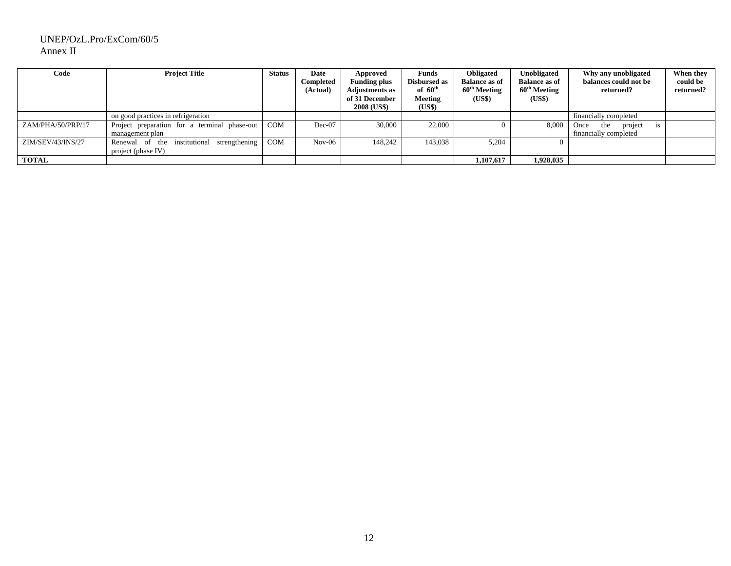| Code              | <b>Project Title</b>                                                           | <b>Status</b> | Date<br>Completed<br>(Actual) | Approved<br><b>Funding plus</b><br><b>Adjustments as</b><br>of 31 December<br>2008 (US\$) | Funds<br><b>Disbursed as</b><br>of $60^{\text{th}}$<br><b>Meeting</b><br>(US\$) | Obligated<br><b>Balance as of</b><br>60 <sup>th</sup> Meeting<br>(US\$) | Unobligated<br><b>Balance as of</b><br>60 <sup>th</sup> Meeting<br>(US\$) | Why any unobligated<br>balances could not be<br>returned?    | When they<br>could be<br>returned? |
|-------------------|--------------------------------------------------------------------------------|---------------|-------------------------------|-------------------------------------------------------------------------------------------|---------------------------------------------------------------------------------|-------------------------------------------------------------------------|---------------------------------------------------------------------------|--------------------------------------------------------------|------------------------------------|
|                   | on good practices in refrigeration                                             |               |                               |                                                                                           |                                                                                 |                                                                         |                                                                           | financially completed                                        |                                    |
| ZAM/PHA/50/PRP/17 | Project preparation for a terminal phase-out<br>management plan                | <b>COM</b>    | $Dec-07$                      | 30,000                                                                                    | 22,000                                                                          |                                                                         | 8,000                                                                     | Once<br>project<br>the<br><b>1S</b><br>financially completed |                                    |
| ZIM/SEV/43/INS/27 | strengthening<br>institutional<br>Renewal<br>the<br>- of<br>project (phase IV) | <b>COM</b>    | $Nov-06$                      | 148.242                                                                                   | 143,038                                                                         | 5,204                                                                   |                                                                           |                                                              |                                    |
| <b>TOTAL</b>      |                                                                                |               |                               |                                                                                           |                                                                                 | 1.107.617                                                               | 1,928,035                                                                 |                                                              |                                    |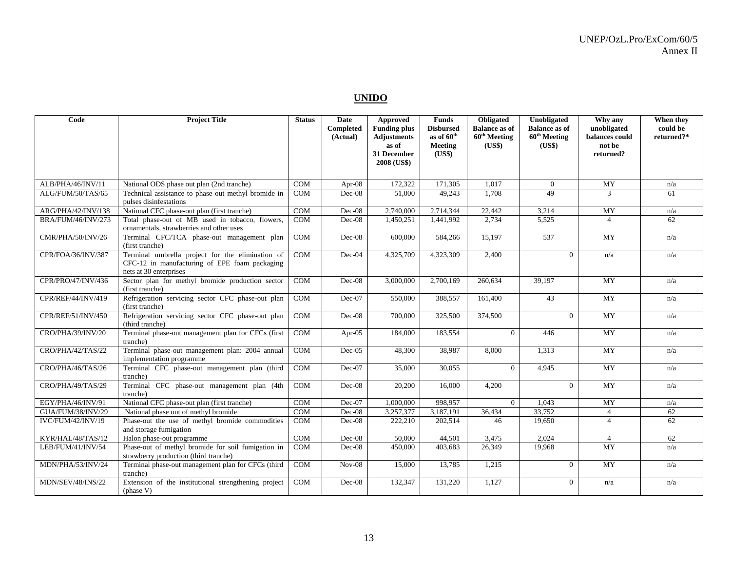### **UNIDO**

| Code                      | <b>Project Title</b>                                                                                                        | <b>Status</b> | Date<br>Completed<br>(Actual) | <b>Approved</b><br><b>Funding plus</b><br><b>Adjustments</b><br>as of | <b>Funds</b><br><b>Disbursed</b><br>as of 60 <sup>th</sup><br>Meeting | Obligated<br><b>Balance as of</b><br>$60^{\text{th}}$ Meeting<br>(US\$) | Unobligated<br><b>Balance as of</b><br>60 <sup>th</sup> Meeting<br>(US\$) | Why any<br>unobligated<br>balances could<br>not be | When they<br>could be<br>returned?* |
|---------------------------|-----------------------------------------------------------------------------------------------------------------------------|---------------|-------------------------------|-----------------------------------------------------------------------|-----------------------------------------------------------------------|-------------------------------------------------------------------------|---------------------------------------------------------------------------|----------------------------------------------------|-------------------------------------|
|                           |                                                                                                                             |               |                               | 31 December<br>2008 (US\$)                                            | (US\$)                                                                |                                                                         |                                                                           | returned?                                          |                                     |
| ALB/PHA/46/INV/11         | National ODS phase out plan (2nd tranche)                                                                                   | <b>COM</b>    | Apr- $08$                     | 172,322                                                               | 171,305                                                               | 1.017                                                                   | $\overline{0}$                                                            | MY                                                 | n/a                                 |
| ALG/FUM/50/TAS/65         | Technical assistance to phase out methyl bromide in<br>pulses disinfestations                                               | <b>COM</b>    | $Dec-08$                      | 51,000                                                                | 49,243                                                                | 1,708                                                                   | 49                                                                        | 3                                                  | 61                                  |
| ARG/PHA/42/INV/138        | National CFC phase-out plan (first tranche)                                                                                 | <b>COM</b>    | Dec-08                        | 2,740,000                                                             | 2,714,344                                                             | 22,442                                                                  | 3,214                                                                     | MY                                                 | n/a                                 |
| <b>BRA/FUM/46/INV/273</b> | Total phase-out of MB used in tobacco, flowers,<br>ornamentals, strawberries and other uses                                 | <b>COM</b>    | Dec-08                        | 1,450,251                                                             | 1,441,992                                                             | 2,734                                                                   | 5,525                                                                     | $\overline{4}$                                     | 62                                  |
| CMR/PHA/50/INV/26         | Terminal CFC/TCA phase-out management plan<br>(first tranche)                                                               | <b>COM</b>    | Dec-08                        | 600,000                                                               | 584,266                                                               | 15,197                                                                  | 537                                                                       | MY                                                 | n/a                                 |
| CPR/FOA/36/INV/387        | Terminal umbrella project for the elimination of<br>CFC-12 in manufacturing of EPE foam packaging<br>nets at 30 enterprises | COM           | Dec-04                        | 4,325,709                                                             | 4,323,309                                                             | 2,400                                                                   | $\Omega$                                                                  | n/a                                                | n/a                                 |
| CPR/PRO/47/INV/436        | Sector plan for methyl bromide production sector<br>(first tranche)                                                         | COM           | $Dec-08$                      | 3,000,000                                                             | 2,700,169                                                             | 260,634                                                                 | 39,197                                                                    | <b>MY</b>                                          | n/a                                 |
| CPR/REF/44/INV/419        | Refrigeration servicing sector CFC phase-out plan<br>(first tranche)                                                        | <b>COM</b>    | $Dec-07$                      | 550,000                                                               | 388,557                                                               | 161,400                                                                 | 43                                                                        | MY                                                 | n/a                                 |
| CPR/REF/51/INV/450        | Refrigeration servicing sector CFC phase-out plan<br>(third tranche)                                                        | <b>COM</b>    | $Dec-08$                      | 700,000                                                               | 325,500                                                               | 374,500                                                                 | $\Omega$                                                                  | MY                                                 | n/a                                 |
| CRO/PHA/39/INV/20         | Terminal phase-out management plan for CFCs (first<br>tranche)                                                              | <b>COM</b>    | Apr- $05$                     | 184,000                                                               | 183,554                                                               | $\Omega$                                                                | 446                                                                       | <b>MY</b>                                          | n/a                                 |
| CRO/PHA/42/TAS/22         | Terminal phase-out management plan: 2004 annual<br>implementation programme                                                 | COM           | $Dec-05$                      | 48,300                                                                | 38,987                                                                | 8,000                                                                   | 1,313                                                                     | MY                                                 | n/a                                 |
| CRO/PHA/46/TAS/26         | Terminal CFC phase-out management plan (third<br>tranche)                                                                   | <b>COM</b>    | $Dec-07$                      | 35,000                                                                | 30,055                                                                | $\Omega$                                                                | 4.945                                                                     | MY                                                 | n/a                                 |
| CRO/PHA/49/TAS/29         | Terminal CFC phase-out management plan (4th<br>tranche)                                                                     | <b>COM</b>    | Dec-08                        | 20,200                                                                | 16,000                                                                | 4,200                                                                   | $\overline{0}$                                                            | MY                                                 | n/a                                 |
| EGY/PHA/46/INV/91         | National CFC phase-out plan (first tranche)                                                                                 | <b>COM</b>    | Dec-07                        | 1,000,000                                                             | 998,957                                                               | $\theta$                                                                | 1,043                                                                     | MY                                                 | n/a                                 |
| GUA/FUM/38/INV/29         | National phase out of methyl bromide                                                                                        | COM           | Dec-08                        | 3,257,377                                                             | 3,187,191                                                             | 36,434                                                                  | 33,752                                                                    | $\overline{4}$                                     | 62                                  |
| IVC/FUM/42/INV/19         | Phase-out the use of methyl bromide commodities<br>and storage fumigation                                                   | <b>COM</b>    | $Dec-08$                      | 222,210                                                               | 202,514                                                               | 46                                                                      | 19,650                                                                    | $\overline{4}$                                     | 62                                  |
| KYR/HAL/48/TAS/12         | Halon phase-out programme                                                                                                   | <b>COM</b>    | Dec-08                        | 50,000                                                                | 44,501                                                                | 3,475                                                                   | 2,024                                                                     | $\overline{4}$                                     | 62                                  |
| LEB/FUM/41/INV/54         | Phase-out of methyl bromide for soil fumigation in<br>strawberry production (third tranche)                                 | <b>COM</b>    | $Dec-08$                      | 450,000                                                               | 403,683                                                               | 26,349                                                                  | 19.968                                                                    | <b>MY</b>                                          | n/a                                 |
| MDN/PHA/53/INV/24         | Terminal phase-out management plan for CFCs (third<br>tranche)                                                              | <b>COM</b>    | $Nov-08$                      | 15,000                                                                | 13,785                                                                | 1,215                                                                   | $\overline{0}$                                                            | MY                                                 | n/a                                 |
| MDN/SEV/48/INS/22         | Extension of the institutional strengthening project<br>(phase V)                                                           | <b>COM</b>    | Dec-08                        | 132,347                                                               | 131,220                                                               | 1,127                                                                   | $\Omega$                                                                  | n/a                                                | n/a                                 |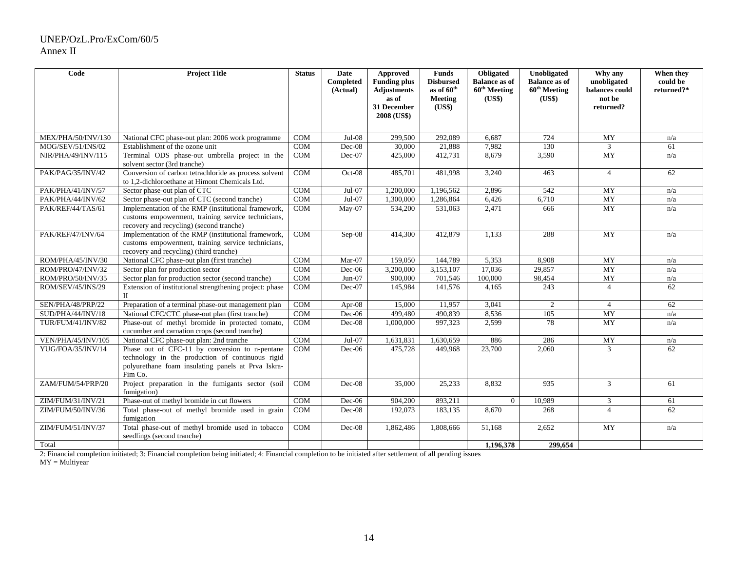| Code               | <b>Project Title</b>                                                                                                                                                | <b>Status</b> | Date<br><b>Completed</b><br>(Actual) | Approved<br><b>Funding plus</b><br><b>Adjustments</b><br>as of<br>31 December<br>2008 (US\$) | <b>Funds</b><br><b>Disbursed</b><br>as of 60 <sup>th</sup><br>Meeting<br>(US\$) | Obligated<br><b>Balance as of</b><br>60 <sup>th</sup> Meeting<br>(US\$) | Unobligated<br><b>Balance as of</b><br>60 <sup>th</sup> Meeting<br>(US\$) | Why any<br>unobligated<br>balances could<br>not be<br>returned? | When they<br>could be<br>returned?* |
|--------------------|---------------------------------------------------------------------------------------------------------------------------------------------------------------------|---------------|--------------------------------------|----------------------------------------------------------------------------------------------|---------------------------------------------------------------------------------|-------------------------------------------------------------------------|---------------------------------------------------------------------------|-----------------------------------------------------------------|-------------------------------------|
| MEX/PHA/50/INV/130 | National CFC phase-out plan: 2006 work programme                                                                                                                    | <b>COM</b>    | $Jul-08$                             | 299,500                                                                                      | 292,089                                                                         | 6,687                                                                   | 724                                                                       | MY                                                              | n/a                                 |
| MOG/SEV/51/INS/02  | Establishment of the ozone unit                                                                                                                                     | <b>COM</b>    | Dec-08                               | 30,000                                                                                       | 21,888                                                                          | 7,982                                                                   | 130                                                                       | $\mathfrak{Z}$                                                  | 61                                  |
| NIR/PHA/49/INV/115 | Terminal ODS phase-out umbrella project in the                                                                                                                      | COM           | Dec-07                               | 425,000                                                                                      | 412,731                                                                         | 8,679                                                                   | 3,590                                                                     | MY                                                              | n/a                                 |
|                    | solvent sector (3rd tranche)                                                                                                                                        |               |                                      |                                                                                              |                                                                                 |                                                                         |                                                                           |                                                                 |                                     |
| PAK/PAG/35/INV/42  | Conversion of carbon tetrachloride as process solvent<br>to 1,2-dichloroethane at Himont Chemicals Ltd.                                                             | COM           | Oct-08                               | 485,701                                                                                      | 481,998                                                                         | 3,240                                                                   | 463                                                                       | $\overline{4}$                                                  | 62                                  |
| PAK/PHA/41/INV/57  | Sector phase-out plan of CTC                                                                                                                                        | COM           | $Jul-07$                             | 1,200,000                                                                                    | 1,196,562                                                                       | 2,896                                                                   | 542                                                                       | MY                                                              | n/a                                 |
| PAK/PHA/44/INV/62  | Sector phase-out plan of CTC (second tranche)                                                                                                                       | COM           | $Jul-07$                             | 1,300,000                                                                                    | 1,286,864                                                                       | 6,426                                                                   | 6,710                                                                     | MY                                                              | n/a                                 |
| PAK/REF/44/TAS/61  | Implementation of the RMP (institutional framework,<br>customs empowerment, training service technicians,<br>recovery and recycling) (second tranche)               | <b>COM</b>    | $Mav-07$                             | 534,200                                                                                      | 531,063                                                                         | 2,471                                                                   | 666                                                                       | <b>MY</b>                                                       | n/a                                 |
| PAK/REF/47/INV/64  | Implementation of the RMP (institutional framework,<br>customs empowerment, training service technicians,<br>recovery and recycling) (third tranche)                | <b>COM</b>    | $Sep-08$                             | 414,300                                                                                      | 412,879                                                                         | 1.133                                                                   | 288                                                                       | <b>MY</b>                                                       | n/a                                 |
| ROM/PHA/45/INV/30  | National CFC phase-out plan (first tranche)                                                                                                                         | <b>COM</b>    | Mar-07                               | 159,050                                                                                      | 144,789                                                                         | 5,353                                                                   | 8.908                                                                     | <b>MY</b>                                                       | n/a                                 |
| ROM/PRO/47/INV/32  | Sector plan for production sector                                                                                                                                   | <b>COM</b>    | $Dec-06$                             | 3,200,000                                                                                    | 3,153,107                                                                       | 17,036                                                                  | 29,857                                                                    | MY                                                              | n/a                                 |
| ROM/PRO/50/INV/35  | Sector plan for production sector (second tranche)                                                                                                                  | <b>COM</b>    | $Jun-07$                             | 900,000                                                                                      | 701,546                                                                         | 100,000                                                                 | 98,454                                                                    | MY                                                              | n/a                                 |
| ROM/SEV/45/INS/29  | Extension of institutional strengthening project: phase<br>$\Pi$                                                                                                    | <b>COM</b>    | Dec-07                               | 145,984                                                                                      | 141,576                                                                         | 4,165                                                                   | 243                                                                       | $\overline{4}$                                                  | 62                                  |
| SEN/PHA/48/PRP/22  | Preparation of a terminal phase-out management plan                                                                                                                 | COM           | Apr- $08$                            | 15,000                                                                                       | 11,957                                                                          | 3,041                                                                   | $\overline{2}$                                                            | $\overline{4}$                                                  | 62                                  |
| SUD/PHA/44/INV/18  | National CFC/CTC phase-out plan (first tranche)                                                                                                                     | <b>COM</b>    | Dec-06                               | 499,480                                                                                      | 490,839                                                                         | 8,536                                                                   | 105                                                                       | MY                                                              | n/a                                 |
| TUR/FUM/41/INV/82  | Phase-out of methyl bromide in protected tomato,<br>cucumber and carnation crops (second tranche)                                                                   | <b>COM</b>    | Dec-08                               | 1,000,000                                                                                    | 997,323                                                                         | 2,599                                                                   | 78                                                                        | <b>MY</b>                                                       | n/a                                 |
| VEN/PHA/45/INV/105 | National CFC phase-out plan: 2nd tranche                                                                                                                            | <b>COM</b>    | $Jul-07$                             | 1,631,831                                                                                    | 1,630,659                                                                       | 886                                                                     | 286                                                                       | MY                                                              | n/a                                 |
| YUG/FOA/35/INV/14  | Phase out of CFC-11 by conversion to n-pentane<br>technology in the production of continuous rigid<br>polyurethane foam insulating panels at Prva Iskra-<br>Fim Co. | COM           | Dec-06                               | 475,728                                                                                      | 449,968                                                                         | 23,700                                                                  | 2,060                                                                     | 3                                                               | 62                                  |
| ZAM/FUM/54/PRP/20  | Project preparation in the fumigants sector (soil<br>fumigation)                                                                                                    | COM           | $Dec-08$                             | 35,000                                                                                       | 25,233                                                                          | 8,832                                                                   | 935                                                                       | $\overline{3}$                                                  | 61                                  |
| ZIM/FUM/31/INV/21  | Phase-out of methyl bromide in cut flowers                                                                                                                          | <b>COM</b>    | $Dec-06$                             | 904,200                                                                                      | 893,211                                                                         | $\overline{0}$                                                          | 10,989                                                                    | 3                                                               | 61                                  |
| ZIM/FUM/50/INV/36  | Total phase-out of methyl bromide used in grain<br>fumigation                                                                                                       | <b>COM</b>    | $Dec-08$                             | 192,073                                                                                      | 183.135                                                                         | 8.670                                                                   | 268                                                                       | $\overline{4}$                                                  | 62                                  |
| ZIM/FUM/51/INV/37  | Total phase-out of methyl bromide used in tobacco<br>seedlings (second tranche)                                                                                     | <b>COM</b>    | Dec-08                               | 1,862,486                                                                                    | 1,808,666                                                                       | 51,168                                                                  | 2,652                                                                     | MY                                                              | n/a                                 |
| Total              |                                                                                                                                                                     |               |                                      |                                                                                              |                                                                                 | 1,196,378                                                               | 299,654                                                                   |                                                                 |                                     |

2: Financial completion initiated; 3: Financial completion being initiated; 4: Financial completion to be initiated after settlement of all pending issues

MY = Multiyear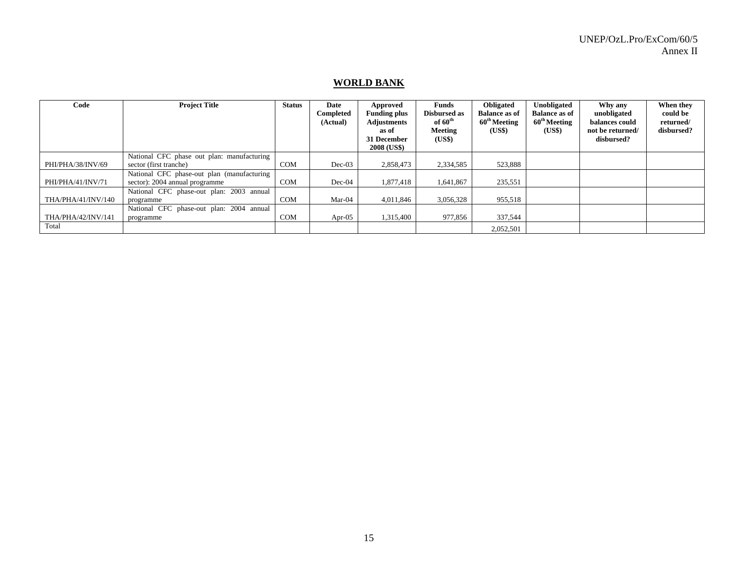# **WORLD BANK**

| Code               | <b>Project Title</b>                                                 | <b>Status</b> | Date<br>Completed<br>(Actual) | Approved<br><b>Funding plus</b><br><b>Adjustments</b><br>as of<br>31 December<br>2008 (US\$) | Funds<br>Disbursed as<br>of $60^{\text{th}}$<br>Meeting<br>(US\$) | <b>Obligated</b><br><b>Balance as of</b><br>$60^{\text{th}}$ Meeting<br>(US\$) | Unobligated<br><b>Balance as of</b><br>60 <sup>th</sup> Meeting<br>(US\$) | Why any<br>unobligated<br>balances could<br>not be returned/<br>disbursed? | When they<br>could be<br>returned/<br>disbursed? |
|--------------------|----------------------------------------------------------------------|---------------|-------------------------------|----------------------------------------------------------------------------------------------|-------------------------------------------------------------------|--------------------------------------------------------------------------------|---------------------------------------------------------------------------|----------------------------------------------------------------------------|--------------------------------------------------|
| PHI/PHA/38/INV/69  | National CFC phase out plan: manufacturing<br>sector (first tranche) | <b>COM</b>    | $Dec-03$                      | 2,858,473                                                                                    | 2,334,585                                                         | 523,888                                                                        |                                                                           |                                                                            |                                                  |
|                    | National CFC phase-out plan (manufacturing                           |               |                               |                                                                                              |                                                                   |                                                                                |                                                                           |                                                                            |                                                  |
| PHI/PHA/41/INV/71  | sector): 2004 annual programme                                       | <b>COM</b>    | $Dec-04$                      | 1,877,418                                                                                    | 1,641,867                                                         | 235,551                                                                        |                                                                           |                                                                            |                                                  |
|                    | National CFC phase-out plan: 2003 annual                             |               |                               |                                                                                              |                                                                   |                                                                                |                                                                           |                                                                            |                                                  |
| THA/PHA/41/INV/140 | programme                                                            | COM           | Mar-04                        | 4,011,846                                                                                    | 3,056,328                                                         | 955,518                                                                        |                                                                           |                                                                            |                                                  |
|                    | National CFC phase-out plan: 2004 annual                             |               |                               |                                                                                              |                                                                   |                                                                                |                                                                           |                                                                            |                                                  |
| THA/PHA/42/INV/141 | programme                                                            | <b>COM</b>    | Apr- $05$                     | 1,315,400                                                                                    | 977,856                                                           | 337,544                                                                        |                                                                           |                                                                            |                                                  |
| Total              |                                                                      |               |                               |                                                                                              |                                                                   | 2,052,501                                                                      |                                                                           |                                                                            |                                                  |